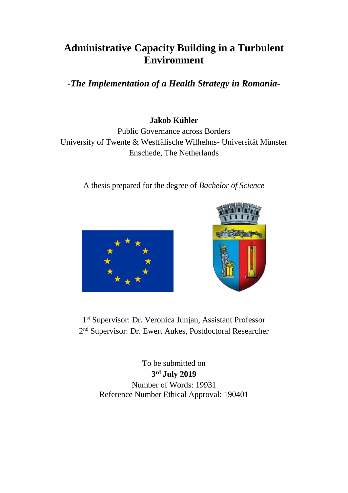# **Administrative Capacity Building in a Turbulent Environment**

*-The Implementation of a Health Strategy in Romania-*

# **Jakob Kühler**

Public Governance across Borders University of Twente & Westfälische Wilhelms- Universität Münster Enschede, The Netherlands

A thesis prepared for the degree of *Bachelor of Science*





1 st Supervisor: Dr. Veronica Junjan, Assistant Professor 2<sup>nd</sup> Supervisor: Dr. Ewert Aukes, Postdoctoral Researcher

> To be submitted on **3 rd July 2019** Number of Words: 19931 Reference Number Ethical Approval: 190401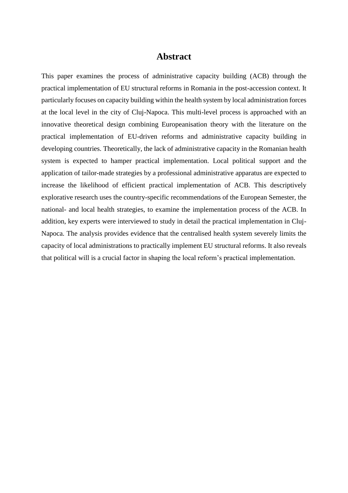# **Abstract**

This paper examines the process of administrative capacity building (ACB) through the practical implementation of EU structural reforms in Romania in the post-accession context. It particularly focuses on capacity building within the health system by local administration forces at the local level in the city of Cluj-Napoca. This multi-level process is approached with an innovative theoretical design combining Europeanisation theory with the literature on the practical implementation of EU-driven reforms and administrative capacity building in developing countries. Theoretically, the lack of administrative capacity in the Romanian health system is expected to hamper practical implementation. Local political support and the application of tailor-made strategies by a professional administrative apparatus are expected to increase the likelihood of efficient practical implementation of ACB. This descriptively explorative research uses the country-specific recommendations of the European Semester, the national- and local health strategies, to examine the implementation process of the ACB. In addition, key experts were interviewed to study in detail the practical implementation in Cluj-Napoca. The analysis provides evidence that the centralised health system severely limits the capacity of local administrations to practically implement EU structural reforms. It also reveals that political will is a crucial factor in shaping the local reform's practical implementation.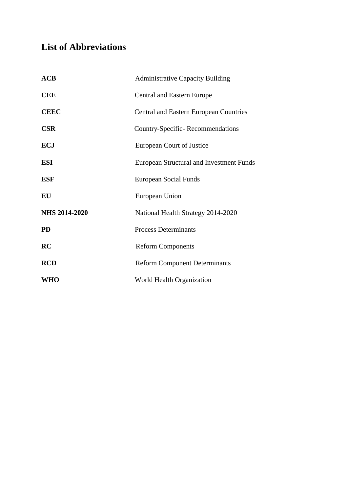# **List of Abbreviations**

| ACB                  | <b>Administrative Capacity Building</b>       |
|----------------------|-----------------------------------------------|
| <b>CEE</b>           | <b>Central and Eastern Europe</b>             |
| <b>CEEC</b>          | <b>Central and Eastern European Countries</b> |
| <b>CSR</b>           | Country-Specific-Recommendations              |
| <b>ECJ</b>           | European Court of Justice                     |
| <b>ESI</b>           | European Structural and Investment Funds      |
| <b>ESF</b>           | European Social Funds                         |
| EU                   | European Union                                |
| <b>NHS 2014-2020</b> | National Health Strategy 2014-2020            |
| <b>PD</b>            | <b>Process Determinants</b>                   |
| RC                   | <b>Reform Components</b>                      |
| <b>RCD</b>           | <b>Reform Component Determinants</b>          |
| <b>WHO</b>           | World Health Organization                     |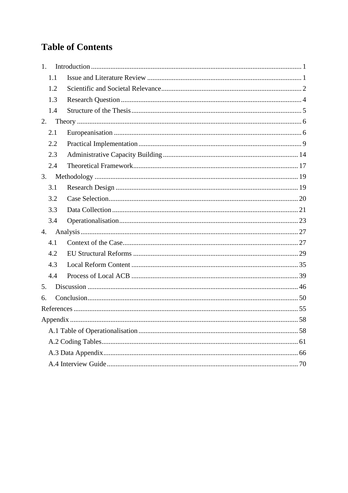# **Table of Contents**

| 1 <sub>1</sub> |  |
|----------------|--|
| 1.1            |  |
| 1.2            |  |
| 1.3            |  |
| 1.4            |  |
| 2.             |  |
| 2.1            |  |
| 2.2            |  |
| 2.3            |  |
| 2.4            |  |
| 3.             |  |
| 3.1            |  |
| 3.2            |  |
| 3.3            |  |
| 3.4            |  |
| 4.             |  |
| 4.1            |  |
| 4.2            |  |
| 4.3            |  |
| 4.4            |  |
| 5.             |  |
| 6.             |  |
|                |  |
|                |  |
|                |  |
|                |  |
|                |  |
|                |  |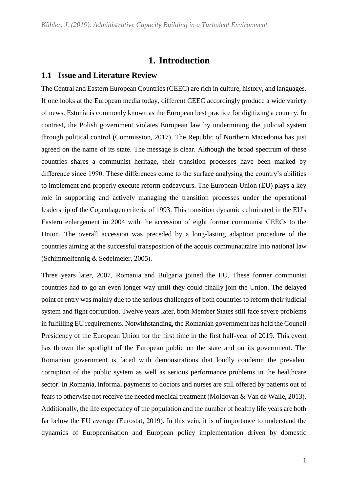# **1. Introduction**

### <span id="page-4-1"></span><span id="page-4-0"></span>**1.1 Issue and Literature Review**

The Central and Eastern European Countries (CEEC) are rich in culture, history, and languages. If one looks at the European media today, different CEEC accordingly produce a wide variety of news. Estonia is commonly known as the European best practice for digitizing a country. In contrast, the Polish government violates European law by undermining the judicial system through political control (Commission, 2017). The Republic of Northern Macedonia has just agreed on the name of its state. The message is clear. Although the broad spectrum of these countries shares a communist heritage, their transition processes have been marked by difference since 1990. These differences come to the surface analysing the country's abilities to implement and properly execute reform endeavours. The European Union (EU) plays a key role in supporting and actively managing the transition processes under the operational leadership of the Copenhagen criteria of 1993. This transition dynamic culminated in the EU's Eastern enlargement in 2004 with the accession of eight former communist CEECs to the Union. The overall accession was preceded by a long-lasting adaption procedure of the countries aiming at the successful transposition of the acquis communautaire into national law (Schimmelfennig & Sedelmeier, 2005).

Three years later, 2007, Romania and Bulgaria joined the EU. These former communist countries had to go an even longer way until they could finally join the Union. The delayed point of entry was mainly due to the serious challenges of both countries to reform their judicial system and fight corruption. Twelve years later, both Member States still face severe problems in fulfilling EU requirements. Notwithstanding, the Romanian government has held the Council Presidency of the European Union for the first time in the first half-year of 2019. This event has thrown the spotlight of the European public on the state and on its government. The Romanian government is faced with demonstrations that loudly condemn the prevalent corruption of the public system as well as serious performance problems in the healthcare sector. In Romania, informal payments to doctors and nurses are still offered by patients out of fears to otherwise not receive the needed medical treatment (Moldovan & Van de Walle, 2013). Additionally, the life expectancy of the population and the number of healthy life years are both far below the EU average (Eurostat, 2019). In this vein, it is of importance to understand the dynamics of Europeanisation and European policy implementation driven by domestic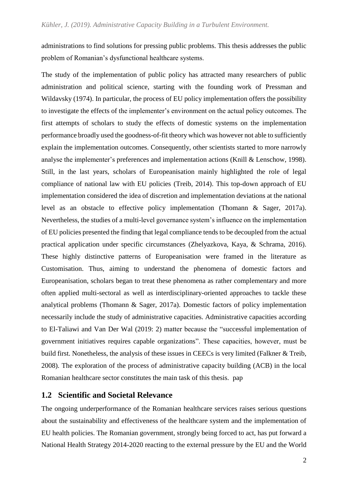administrations to find solutions for pressing public problems. This thesis addresses the public problem of Romanian's dysfunctional healthcare systems.

The study of the implementation of public policy has attracted many researchers of public administration and political science, starting with the founding work of Pressman and Wildavsky (1974). In particular, the process of EU policy implementation offers the possibility to investigate the effects of the implementer's environment on the actual policy outcomes. The first attempts of scholars to study the effects of domestic systems on the implementation performance broadly used the goodness-of-fit theory which was however not able to sufficiently explain the implementation outcomes. Consequently, other scientists started to more narrowly analyse the implementer's preferences and implementation actions (Knill & Lenschow, 1998). Still, in the last years, scholars of Europeanisation mainly highlighted the role of legal compliance of national law with EU policies (Treib, 2014). This top-down approach of EU implementation considered the idea of discretion and implementation deviations at the national level as an obstacle to effective policy implementation (Thomann & Sager, 2017a). Nevertheless, the studies of a multi-level governance system's influence on the implementation of EU policies presented the finding that legal compliance tends to be decoupled from the actual practical application under specific circumstances (Zhelyazkova, Kaya, & Schrama, 2016). These highly distinctive patterns of Europeanisation were framed in the literature as Customisation. Thus, aiming to understand the phenomena of domestic factors and Europeanisation, scholars began to treat these phenomena as rather complementary and more often applied multi-sectoral as well as interdisciplinary-oriented approaches to tackle these analytical problems (Thomann & Sager, 2017a). Domestic factors of policy implementation necessarily include the study of administrative capacities. Administrative capacities according to El-Taliawi and Van Der Wal (2019: 2) matter because the "successful implementation of government initiatives requires capable organizations". These capacities, however, must be build first. Nonetheless, the analysis of these issues in CEECs is very limited (Falkner & Treib, 2008). The exploration of the process of administrative capacity building (ACB) in the local Romanian healthcare sector constitutes the main task of this thesis. pap

## <span id="page-5-0"></span>**1.2 Scientific and Societal Relevance**

The ongoing underperformance of the Romanian healthcare services raises serious questions about the sustainability and effectiveness of the healthcare system and the implementation of EU health policies. The Romanian government, strongly being forced to act, has put forward a National Health Strategy 2014-2020 reacting to the external pressure by the EU and the World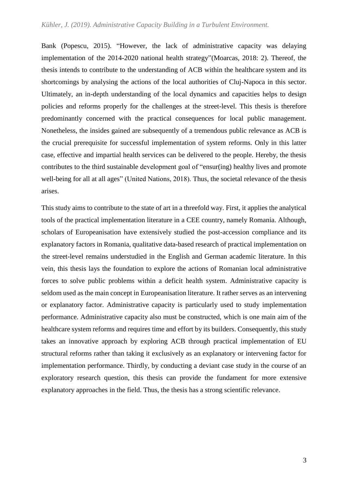#### *Kühler, J. (2019). Administrative Capacity Building in a Turbulent Environment.*

Bank (Popescu, 2015). "However, the lack of administrative capacity was delaying implementation of the 2014-2020 national health strategy"(Moarcas, 2018: 2). Thereof, the thesis intends to contribute to the understanding of ACB within the healthcare system and its shortcomings by analysing the actions of the local authorities of Cluj-Napoca in this sector. Ultimately, an in-depth understanding of the local dynamics and capacities helps to design policies and reforms properly for the challenges at the street-level. This thesis is therefore predominantly concerned with the practical consequences for local public management. Nonetheless, the insides gained are subsequently of a tremendous public relevance as ACB is the crucial prerequisite for successful implementation of system reforms. Only in this latter case, effective and impartial health services can be delivered to the people. Hereby, the thesis contributes to the third sustainable development goal of "ensur(ing) healthy lives and promote well-being for all at all ages" (United Nations, 2018). Thus, the societal relevance of the thesis arises.

This study aims to contribute to the state of art in a threefold way. First, it applies the analytical tools of the practical implementation literature in a CEE country, namely Romania. Although, scholars of Europeanisation have extensively studied the post-accession compliance and its explanatory factors in Romania, qualitative data-based research of practical implementation on the street-level remains understudied in the English and German academic literature. In this vein, this thesis lays the foundation to explore the actions of Romanian local administrative forces to solve public problems within a deficit health system. Administrative capacity is seldom used as the main concept in Europeanisation literature. It rather serves as an intervening or explanatory factor. Administrative capacity is particularly used to study implementation performance. Administrative capacity also must be constructed, which is one main aim of the healthcare system reforms and requires time and effort by its builders. Consequently, this study takes an innovative approach by exploring ACB through practical implementation of EU structural reforms rather than taking it exclusively as an explanatory or intervening factor for implementation performance. Thirdly, by conducting a deviant case study in the course of an exploratory research question, this thesis can provide the fundament for more extensive explanatory approaches in the field. Thus, the thesis has a strong scientific relevance.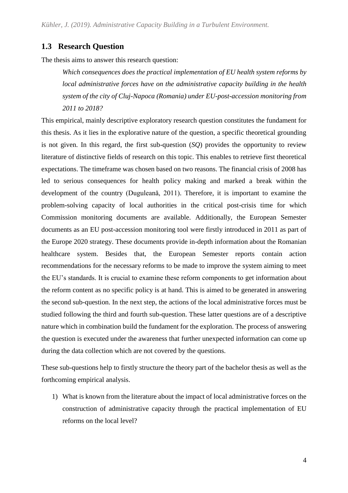## <span id="page-7-0"></span>**1.3 Research Question**

The thesis aims to answer this research question:

*Which consequences does the practical implementation of EU health system reforms by local administrative forces have on the administrative capacity building in the health system of the city of Cluj-Napoca (Romania) under EU-post-accession monitoring from 2011 to 2018?*

This empirical, mainly descriptive exploratory research question constitutes the fundament for this thesis. As it lies in the explorative nature of the question, a specific theoretical grounding is not given. In this regard, the first sub-question (*SQ*) provides the opportunity to review literature of distinctive fields of research on this topic. This enables to retrieve first theoretical expectations. The timeframe was chosen based on two reasons. The financial crisis of 2008 has led to serious consequences for health policy making and marked a break within the development of the country (Duguleanǎ, 2011). Therefore, it is important to examine the problem-solving capacity of local authorities in the critical post-crisis time for which Commission monitoring documents are available. Additionally, the European Semester documents as an EU post-accession monitoring tool were firstly introduced in 2011 as part of the Europe 2020 strategy. These documents provide in-depth information about the Romanian healthcare system. Besides that, the European Semester reports contain action recommendations for the necessary reforms to be made to improve the system aiming to meet the EU's standards. It is crucial to examine these reform components to get information about the reform content as no specific policy is at hand. This is aimed to be generated in answering the second sub-question. In the next step, the actions of the local administrative forces must be studied following the third and fourth sub-question. These latter questions are of a descriptive nature which in combination build the fundament for the exploration. The process of answering the question is executed under the awareness that further unexpected information can come up during the data collection which are not covered by the questions.

These sub-questions help to firstly structure the theory part of the bachelor thesis as well as the forthcoming empirical analysis.

1) What is known from the literature about the impact of local administrative forces on the construction of administrative capacity through the practical implementation of EU reforms on the local level?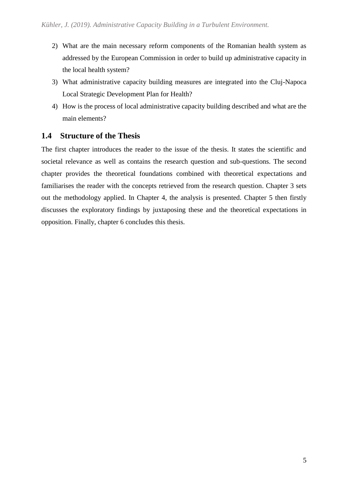- 2) What are the main necessary reform components of the Romanian health system as addressed by the European Commission in order to build up administrative capacity in the local health system?
- 3) What administrative capacity building measures are integrated into the Cluj-Napoca Local Strategic Development Plan for Health?
- 4) How is the process of local administrative capacity building described and what are the main elements?

# <span id="page-8-0"></span>**1.4 Structure of the Thesis**

The first chapter introduces the reader to the issue of the thesis. It states the scientific and societal relevance as well as contains the research question and sub-questions. The second chapter provides the theoretical foundations combined with theoretical expectations and familiarises the reader with the concepts retrieved from the research question. Chapter 3 sets out the methodology applied. In Chapter 4, the analysis is presented. Chapter 5 then firstly discusses the exploratory findings by juxtaposing these and the theoretical expectations in opposition. Finally, chapter 6 concludes this thesis.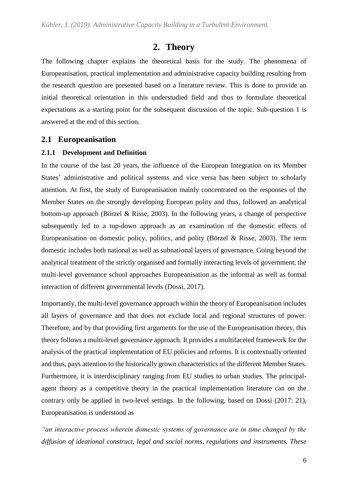# **2. Theory**

<span id="page-9-0"></span>The following chapter explains the theoretical basis for the study. The phenomena of Europeanisation, practical implementation and administrative capacity building resulting from the research question are presented based on a literature review. This is done to provide an initial theoretical orientation in this understudied field and thus to formulate theoretical expectations as a starting point for the subsequent discussion of the topic. Sub-question 1 is answered at the end of this section.

## <span id="page-9-1"></span>**2.1 Europeanisation**

### **2.1.1 Development and Definition**

In the course of the last 20 years, the influence of the European Integration on its Member States' administrative and political systems and vice versa has been subject to scholarly attention. At first, the study of Europeanisation mainly concentrated on the responses of the Member States on the strongly developing European polity and thus, followed an analytical bottom-up approach (Börzel & Risse, 2003). In the following years, a change of perspective subsequently led to a top-down approach as an examination of the domestic effects of Europeanisation on domestic policy, politics, and polity (Börzel & Risse, 2003). The term domestic includes both national as well as subnational layers of governance. Going beyond the analytical treatment of the strictly organised and formally interacting levels of government, the multi-level governance school approaches Europeanisation as the informal as well as formal interaction of different governmental levels (Dossi, 2017).

Importantly, the multi-level governance approach within the theory of Europeanisation includes all layers of governance and that does not exclude local and regional structures of power. Therefore, and by that providing first arguments for the use of the Europeanisation theory, this theory follows a multi-level governance approach. It provides a multifaceted framework for the analysis of the practical implementation of EU policies and reforms. It is contextually oriented and thus, pays attention to the historically grown characteristics of the different Member States. Furthermore, it is interdisciplinary ranging from EU studies to urban studies. The principalagent theory as a competitive theory in the practical implementation literature can on the contrary only be applied in two-level settings. In the following, based on Dossi (2017: 21), Europeanisation is understood as

*"an interactive process wherein domestic systems of governance are in time changed by the diffusion of ideational construct, legal and social norms, regulations and instruments. These*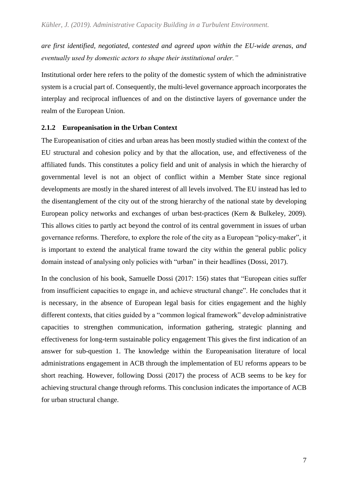*are first identified, negotiated, contested and agreed upon within the EU-wide arenas, and eventually used by domestic actors to shape their institutional order."* 

Institutional order here refers to the polity of the domestic system of which the administrative system is a crucial part of. Consequently, the multi-level governance approach incorporates the interplay and reciprocal influences of and on the distinctive layers of governance under the realm of the European Union.

### **2.1.2 Europeanisation in the Urban Context**

The Europeanisation of cities and urban areas has been mostly studied within the context of the EU structural and cohesion policy and by that the allocation, use, and effectiveness of the affiliated funds. This constitutes a policy field and unit of analysis in which the hierarchy of governmental level is not an object of conflict within a Member State since regional developments are mostly in the shared interest of all levels involved. The EU instead has led to the disentanglement of the city out of the strong hierarchy of the national state by developing European policy networks and exchanges of urban best-practices (Kern & Bulkeley, 2009). This allows cities to partly act beyond the control of its central government in issues of urban governance reforms. Therefore, to explore the role of the city as a European "policy-maker", it is important to extend the analytical frame toward the city within the general public policy domain instead of analysing only policies with "urban" in their headlines (Dossi, 2017).

In the conclusion of his book, Samuelle Dossi (2017: 156) states that "European cities suffer from insufficient capacities to engage in, and achieve structural change". He concludes that it is necessary, in the absence of European legal basis for cities engagement and the highly different contexts, that cities guided by a "common logical framework" develop administrative capacities to strengthen communication, information gathering, strategic planning and effectiveness for long-term sustainable policy engagement This gives the first indication of an answer for sub-question 1. The knowledge within the Europeanisation literature of local administrations engagement in ACB through the implementation of EU reforms appears to be short reaching. However, following Dossi (2017) the process of ACB seems to be key for achieving structural change through reforms. This conclusion indicates the importance of ACB for urban structural change.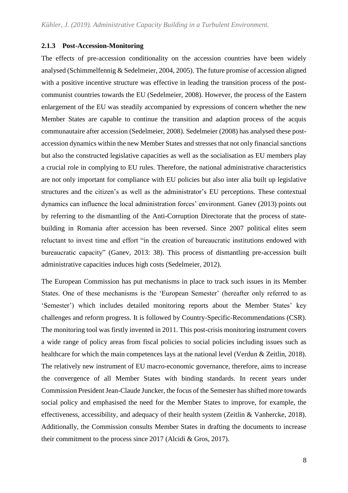#### **2.1.3 Post-Accession-Monitoring**

The effects of pre-accession conditionality on the accession countries have been widely analysed (Schimmelfennig & Sedelmeier, 2004, 2005). The future promise of accession aligned with a positive incentive structure was effective in leading the transition process of the postcommunist countries towards the EU (Sedelmeier, 2008). However, the process of the Eastern enlargement of the EU was steadily accompanied by expressions of concern whether the new Member States are capable to continue the transition and adaption process of the acquis communautaire after accession (Sedelmeier, 2008). Sedelmeier (2008) has analysed these postaccession dynamics within the new Member States and stresses that not only financial sanctions but also the constructed legislative capacities as well as the socialisation as EU members play a crucial role in complying to EU rules. Therefore, the national administrative characteristics are not only important for compliance with EU policies but also inter alia built up legislative structures and the citizen's as well as the administrator's EU perceptions. These contextual dynamics can influence the local administration forces' environment. Ganev (2013) points out by referring to the dismantling of the Anti-Corruption Directorate that the process of statebuilding in Romania after accession has been reversed. Since 2007 political elites seem reluctant to invest time and effort "in the creation of bureaucratic institutions endowed with bureaucratic capacity" (Ganev, 2013: 38). This process of dismantling pre-accession built administrative capacities induces high costs (Sedelmeier, 2012).

The European Commission has put mechanisms in place to track such issues in its Member States. One of these mechanisms is the 'European Semester' (hereafter only referred to as 'Semester') which includes detailed monitoring reports about the Member States' key challenges and reform progress. It is followed by Country-Specific-Recommendations (CSR). The monitoring tool was firstly invented in 2011. This post-crisis monitoring instrument covers a wide range of policy areas from fiscal policies to social policies including issues such as healthcare for which the main competences lays at the national level (Verdun & Zeitlin, 2018). The relatively new instrument of EU macro-economic governance, therefore, aims to increase the convergence of all Member States with binding standards. In recent years under Commission President Jean-Claude Juncker, the focus of the Semester has shifted more towards social policy and emphasised the need for the Member States to improve, for example, the effectiveness, accessibility, and adequacy of their health system (Zeitlin & Vanhercke, 2018). Additionally, the Commission consults Member States in drafting the documents to increase their commitment to the process since 2017 (Alcidi & Gros, 2017).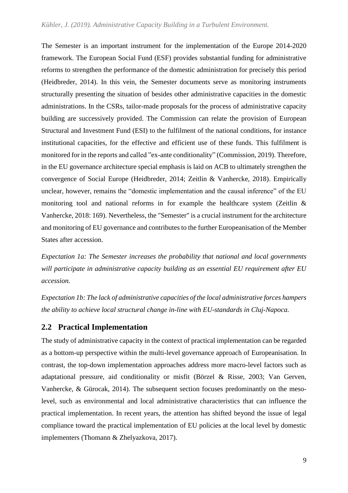The Semester is an important instrument for the implementation of the Europe 2014-2020 framework. The European Social Fund (ESF) provides substantial funding for administrative reforms to strengthen the performance of the domestic administration for precisely this period (Heidbreder, 2014). In this vein, the Semester documents serve as monitoring instruments structurally presenting the situation of besides other administrative capacities in the domestic administrations. In the CSRs, tailor-made proposals for the process of administrative capacity building are successively provided. The Commission can relate the provision of European Structural and Investment Fund (ESI) to the fulfilment of the national conditions, for instance institutional capacities, for the effective and efficient use of these funds. This fulfilment is monitored for in the reports and called "ex-ante conditionality" (Commission, 2019). Therefore, in the EU governance architecture special emphasis is laid on ACB to ultimately strengthen the convergence of Social Europe (Heidbreder, 2014; Zeitlin & Vanhercke, 2018). Empirically unclear, however, remains the "domestic implementation and the causal inference" of the EU monitoring tool and national reforms in for example the healthcare system (Zeitlin  $\&$ Vanhercke, 2018: 169). Nevertheless, the "Semester" is a crucial instrument for the architecture and monitoring of EU governance and contributes to the further Europeanisation of the Member States after accession.

*Expectation 1a: The Semester increases the probability that national and local governments will participate in administrative capacity building as an essential EU requirement after EU accession.*

*Expectation 1b: The lack of administrative capacities of the local administrative forces hampers the ability to achieve local structural change in-line with EU-standards in Cluj-Napoca.*

# <span id="page-12-0"></span>**2.2 Practical Implementation**

The study of administrative capacity in the context of practical implementation can be regarded as a bottom-up perspective within the multi-level governance approach of Europeanisation. In contrast, the top-down implementation approaches address more macro-level factors such as adaptational pressure, aid conditionality or misfit (Börzel & Risse, 2003; Van Gerven, Vanhercke, & Gürocak, 2014). The subsequent section focuses predominantly on the mesolevel, such as environmental and local administrative characteristics that can influence the practical implementation. In recent years, the attention has shifted beyond the issue of legal compliance toward the practical implementation of EU policies at the local level by domestic implementers (Thomann & Zhelyazkova, 2017).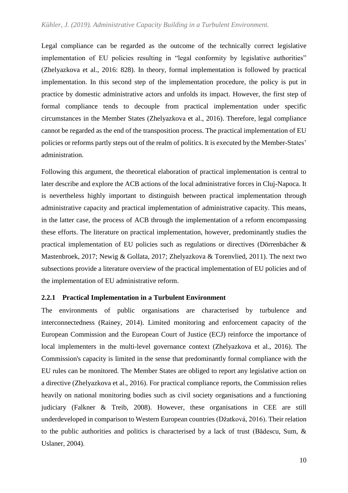Legal compliance can be regarded as the outcome of the technically correct legislative implementation of EU policies resulting in "legal conformity by legislative authorities" (Zhelyazkova et al., 2016: 828). In theory, formal implementation is followed by practical implementation. In this second step of the implementation procedure, the policy is put in practice by domestic administrative actors and unfolds its impact. However, the first step of formal compliance tends to decouple from practical implementation under specific circumstances in the Member States (Zhelyazkova et al., 2016). Therefore, legal compliance cannot be regarded as the end of the transposition process. The practical implementation of EU policies or reforms partly steps out of the realm of politics. It is executed by the Member-States' administration.

Following this argument, the theoretical elaboration of practical implementation is central to later describe and explore the ACB actions of the local administrative forces in Cluj-Napoca. It is nevertheless highly important to distinguish between practical implementation through administrative capacity and practical implementation of administrative capacity. This means, in the latter case, the process of ACB through the implementation of a reform encompassing these efforts. The literature on practical implementation, however, predominantly studies the practical implementation of EU policies such as regulations or directives (Dörrenbächer & Mastenbroek, 2017; Newig & Gollata, 2017; Zhelyazkova & Torenvlied, 2011). The next two subsections provide a literature overview of the practical implementation of EU policies and of the implementation of EU administrative reform.

#### **2.2.1 Practical Implementation in a Turbulent Environment**

The environments of public organisations are characterised by turbulence and interconnectedness (Rainey, 2014). Limited monitoring and enforcement capacity of the European Commission and the European Court of Justice (ECJ) reinforce the importance of local implementers in the multi-level governance context (Zhelyazkova et al., 2016). The Commission's capacity is limited in the sense that predominantly formal compliance with the EU rules can be monitored. The Member States are obliged to report any legislative action on a directive (Zhelyazkova et al., 2016). For practical compliance reports, the Commission relies heavily on national monitoring bodies such as civil society organisations and a functioning judiciary (Falkner & Treib, 2008). However, these organisations in CEE are still underdeveloped in comparison to Western European countries (Džatková, 2016). Their relation to the public authorities and politics is characterised by a lack of trust (Bădescu, Sum, & Uslaner, 2004).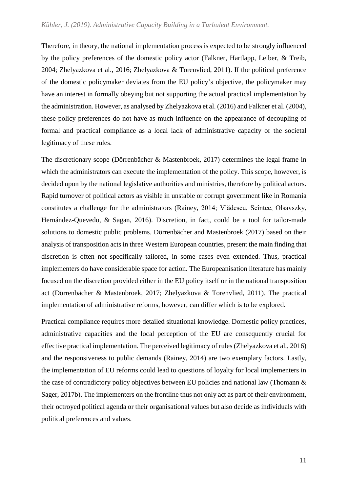#### *Kühler, J. (2019). Administrative Capacity Building in a Turbulent Environment.*

Therefore, in theory, the national implementation process is expected to be strongly influenced by the policy preferences of the domestic policy actor (Falkner, Hartlapp, Leiber, & Treib, 2004; Zhelyazkova et al., 2016; Zhelyazkova & Torenvlied, 2011). If the political preference of the domestic policymaker deviates from the EU policy's objective, the policymaker may have an interest in formally obeying but not supporting the actual practical implementation by the administration. However, as analysed by Zhelyazkova et al. (2016) and Falkner et al. (2004), these policy preferences do not have as much influence on the appearance of decoupling of formal and practical compliance as a local lack of administrative capacity or the societal legitimacy of these rules.

The discretionary scope (Dörrenbächer & Mastenbroek, 2017) determines the legal frame in which the administrators can execute the implementation of the policy. This scope, however, is decided upon by the national legislative authorities and ministries, therefore by political actors. Rapid turnover of political actors as visible in unstable or corrupt government like in Romania constitutes a challenge for the administrators (Rainey, 2014; Vlădescu, Scîntee, Olsavszky, Hernández-Quevedo, & Sagan, 2016). Discretion, in fact, could be a tool for tailor-made solutions to domestic public problems. Dörrenbächer and Mastenbroek (2017) based on their analysis of transposition acts in three Western European countries, present the main finding that discretion is often not specifically tailored, in some cases even extended. Thus, practical implementers do have considerable space for action. The Europeanisation literature has mainly focused on the discretion provided either in the EU policy itself or in the national transposition act (Dörrenbächer & Mastenbroek, 2017; Zhelyazkova & Torenvlied, 2011). The practical implementation of administrative reforms, however, can differ which is to be explored.

Practical compliance requires more detailed situational knowledge. Domestic policy practices, administrative capacities and the local perception of the EU are consequently crucial for effective practical implementation. The perceived legitimacy of rules (Zhelyazkova et al., 2016) and the responsiveness to public demands (Rainey, 2014) are two exemplary factors. Lastly, the implementation of EU reforms could lead to questions of loyalty for local implementers in the case of contradictory policy objectives between EU policies and national law (Thomann & Sager, 2017b). The implementers on the frontline thus not only act as part of their environment, their octroyed political agenda or their organisational values but also decide as individuals with political preferences and values.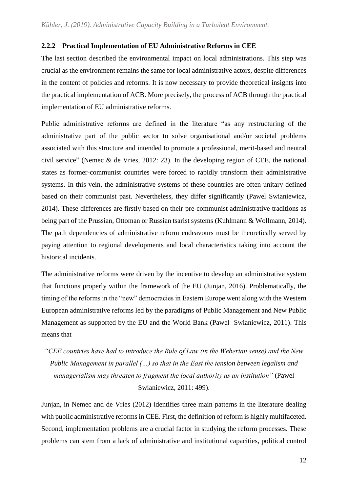### **2.2.2 Practical Implementation of EU Administrative Reforms in CEE**

The last section described the environmental impact on local administrations. This step was crucial as the environment remains the same for local administrative actors, despite differences in the content of policies and reforms. It is now necessary to provide theoretical insights into the practical implementation of ACB. More precisely, the process of ACB through the practical implementation of EU administrative reforms.

Public administrative reforms are defined in the literature "as any restructuring of the administrative part of the public sector to solve organisational and/or societal problems associated with this structure and intended to promote a professional, merit-based and neutral civil service" (Nemec & de Vries, 2012: 23). In the developing region of CEE, the national states as former-communist countries were forced to rapidly transform their administrative systems. In this vein, the administrative systems of these countries are often unitary defined based on their communist past. Nevertheless, they differ significantly (Pawel Swianiewicz, 2014). These differences are firstly based on their pre-communist administrative traditions as being part of the Prussian, Ottoman or Russian tsarist systems (Kuhlmann & Wollmann, 2014). The path dependencies of administrative reform endeavours must be theoretically served by paying attention to regional developments and local characteristics taking into account the historical incidents.

The administrative reforms were driven by the incentive to develop an administrative system that functions properly within the framework of the EU (Junjan, 2016). Problematically, the timing of the reforms in the "new" democracies in Eastern Europe went along with the Western European administrative reforms led by the paradigms of Public Management and New Public Management as supported by the EU and the World Bank (Pawel Swianiewicz, 2011). This means that

*"CEE countries have had to introduce the Rule of Law (in the Weberian sense) and the New Public Management in parallel (…) so that in the East the tension between legalism and managerialism may threaten to fragment the local authority as an institution"* (Pawel Swianiewicz, 2011: 499).

Junjan, in Nemec and de Vries (2012) identifies three main patterns in the literature dealing with public administrative reforms in CEE. First, the definition of reform is highly multifaceted. Second, implementation problems are a crucial factor in studying the reform processes. These problems can stem from a lack of administrative and institutional capacities, political control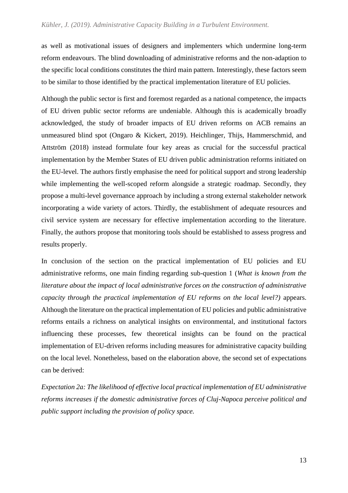as well as motivational issues of designers and implementers which undermine long-term reform endeavours. The blind downloading of administrative reforms and the non-adaption to the specific local conditions constitutes the third main pattern. Interestingly, these factors seem to be similar to those identified by the practical implementation literature of EU policies.

Although the public sector is first and foremost regarded as a national competence, the impacts of EU driven public sector reforms are undeniable. Although this is academically broadly acknowledged, the study of broader impacts of EU driven reforms on ACB remains an unmeasured blind spot (Ongaro & Kickert, 2019). Heichlinger, Thijs, Hammerschmid, and Attström (2018) instead formulate four key areas as crucial for the successful practical implementation by the Member States of EU driven public administration reforms initiated on the EU-level. The authors firstly emphasise the need for political support and strong leadership while implementing the well-scoped reform alongside a strategic roadmap. Secondly, they propose a multi-level governance approach by including a strong external stakeholder network incorporating a wide variety of actors. Thirdly, the establishment of adequate resources and civil service system are necessary for effective implementation according to the literature. Finally, the authors propose that monitoring tools should be established to assess progress and results properly.

In conclusion of the section on the practical implementation of EU policies and EU administrative reforms, one main finding regarding sub-question 1 (*What is known from the literature about the impact of local administrative forces on the construction of administrative capacity through the practical implementation of EU reforms on the local level?)* appears. Although the literature on the practical implementation of EU policies and public administrative reforms entails a richness on analytical insights on environmental, and institutional factors influencing these processes, few theoretical insights can be found on the practical implementation of EU-driven reforms including measures for administrative capacity building on the local level. Nonetheless, based on the elaboration above, the second set of expectations can be derived:

*Expectation 2a: The likelihood of effective local practical implementation of EU administrative reforms increases if the domestic administrative forces of Cluj-Napoca perceive political and public support including the provision of policy space.*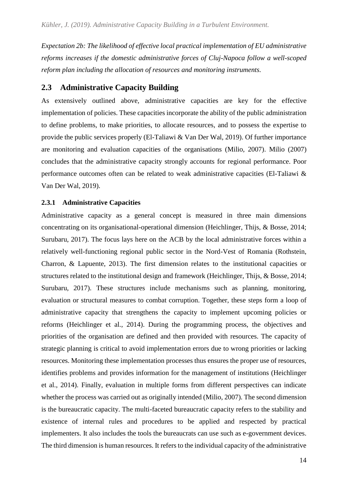*Expectation 2b: The likelihood of effective local practical implementation of EU administrative reforms increases if the domestic administrative forces of Cluj-Napoca follow a well-scoped reform plan including the allocation of resources and monitoring instruments.* 

# <span id="page-17-0"></span>**2.3 Administrative Capacity Building**

As extensively outlined above, administrative capacities are key for the effective implementation of policies. These capacities incorporate the ability of the public administration to define problems, to make priorities, to allocate resources, and to possess the expertise to provide the public services properly (El-Taliawi & Van Der Wal, 2019). Of further importance are monitoring and evaluation capacities of the organisations (Milio, 2007). Milio (2007) concludes that the administrative capacity strongly accounts for regional performance. Poor performance outcomes often can be related to weak administrative capacities (El-Taliawi & Van Der Wal, 2019).

### **2.3.1 Administrative Capacities**

Administrative capacity as a general concept is measured in three main dimensions concentrating on its organisational-operational dimension (Heichlinger, Thijs, & Bosse, 2014; Surubaru, 2017). The focus lays here on the ACB by the local administrative forces within a relatively well-functioning regional public sector in the Nord-Vest of Romania (Rothstein, Charron, & Lapuente, 2013). The first dimension relates to the institutional capacities or structures related to the institutional design and framework (Heichlinger, Thijs, & Bosse, 2014; Surubaru, 2017). These structures include mechanisms such as planning, monitoring, evaluation or structural measures to combat corruption. Together, these steps form a loop of administrative capacity that strengthens the capacity to implement upcoming policies or reforms (Heichlinger et al., 2014). During the programming process, the objectives and priorities of the organisation are defined and then provided with resources. The capacity of strategic planning is critical to avoid implementation errors due to wrong priorities or lacking resources. Monitoring these implementation processes thus ensures the proper use of resources, identifies problems and provides information for the management of institutions (Heichlinger et al., 2014). Finally, evaluation in multiple forms from different perspectives can indicate whether the process was carried out as originally intended (Milio, 2007). The second dimension is the bureaucratic capacity. The multi-faceted bureaucratic capacity refers to the stability and existence of internal rules and procedures to be applied and respected by practical implementers. It also includes the tools the bureaucrats can use such as e-government devices. The third dimension is human resources. It refers to the individual capacity of the administrative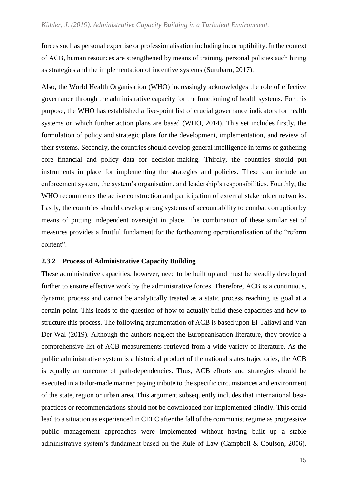forces such as personal expertise or professionalisation including incorruptibility. In the context of ACB, human resources are strengthened by means of training, personal policies such hiring as strategies and the implementation of incentive systems (Surubaru, 2017).

Also, the World Health Organisation (WHO) increasingly acknowledges the role of effective governance through the administrative capacity for the functioning of health systems. For this purpose, the WHO has established a five-point list of crucial governance indicators for health systems on which further action plans are based (WHO, 2014). This set includes firstly, the formulation of policy and strategic plans for the development, implementation, and review of their systems. Secondly, the countries should develop general intelligence in terms of gathering core financial and policy data for decision-making. Thirdly, the countries should put instruments in place for implementing the strategies and policies. These can include an enforcement system, the system's organisation, and leadership's responsibilities. Fourthly, the WHO recommends the active construction and participation of external stakeholder networks. Lastly, the countries should develop strong systems of accountability to combat corruption by means of putting independent oversight in place. The combination of these similar set of measures provides a fruitful fundament for the forthcoming operationalisation of the "reform content".

#### **2.3.2 Process of Administrative Capacity Building**

These administrative capacities, however, need to be built up and must be steadily developed further to ensure effective work by the administrative forces. Therefore, ACB is a continuous, dynamic process and cannot be analytically treated as a static process reaching its goal at a certain point. This leads to the question of how to actually build these capacities and how to structure this process. The following argumentation of ACB is based upon El-Taliawi and Van Der Wal (2019). Although the authors neglect the Europeanisation literature, they provide a comprehensive list of ACB measurements retrieved from a wide variety of literature. As the public administrative system is a historical product of the national states trajectories, the ACB is equally an outcome of path-dependencies. Thus, ACB efforts and strategies should be executed in a tailor-made manner paying tribute to the specific circumstances and environment of the state, region or urban area. This argument subsequently includes that international bestpractices or recommendations should not be downloaded nor implemented blindly. This could lead to a situation as experienced in CEEC after the fall of the communist regime as progressive public management approaches were implemented without having built up a stable administrative system's fundament based on the Rule of Law (Campbell & Coulson, 2006).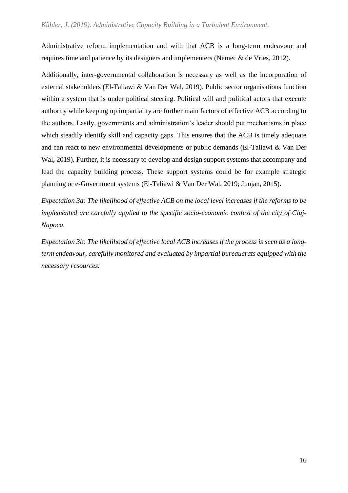Administrative reform implementation and with that ACB is a long-term endeavour and requires time and patience by its designers and implementers (Nemec & de Vries, 2012).

Additionally, inter-governmental collaboration is necessary as well as the incorporation of external stakeholders (El-Taliawi & Van Der Wal, 2019). Public sector organisations function within a system that is under political steering. Political will and political actors that execute authority while keeping up impartiality are further main factors of effective ACB according to the authors. Lastly, governments and administration's leader should put mechanisms in place which steadily identify skill and capacity gaps. This ensures that the ACB is timely adequate and can react to new environmental developments or public demands (El-Taliawi & Van Der Wal, 2019). Further, it is necessary to develop and design support systems that accompany and lead the capacity building process. These support systems could be for example strategic planning or e-Government systems (El-Taliawi & Van Der Wal, 2019; Junjan, 2015).

*Expectation 3a: The likelihood of effective ACB on the local level increases if the reforms to be implemented are carefully applied to the specific socio-economic context of the city of Cluj-Napoca.*

*Expectation 3b: The likelihood of effective local ACB increases if the process is seen as a longterm endeavour, carefully monitored and evaluated by impartial bureaucrats equipped with the necessary resources.*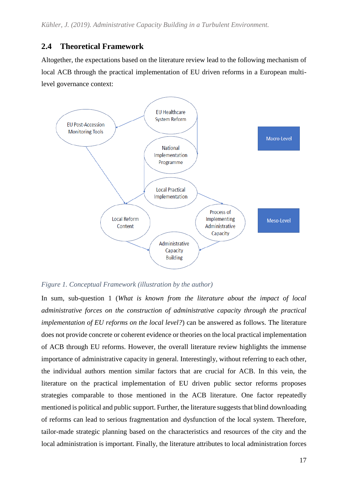# <span id="page-20-0"></span>**2.4 Theoretical Framework**

Altogether, the expectations based on the literature review lead to the following mechanism of local ACB through the practical implementation of EU driven reforms in a European multilevel governance context:



*Figure 1. Conceptual Framework (illustration by the author)*

In sum, sub-question 1 (*What is known from the literature about the impact of local administrative forces on the construction of administrative capacity through the practical implementation of EU reforms on the local level?*) can be answered as follows. The literature does not provide concrete or coherent evidence or theories on the local practical implementation of ACB through EU reforms. However, the overall literature review highlights the immense importance of administrative capacity in general. Interestingly, without referring to each other, the individual authors mention similar factors that are crucial for ACB. In this vein, the literature on the practical implementation of EU driven public sector reforms proposes strategies comparable to those mentioned in the ACB literature. One factor repeatedly mentioned is political and public support. Further, the literature suggests that blind downloading of reforms can lead to serious fragmentation and dysfunction of the local system. Therefore, tailor-made strategic planning based on the characteristics and resources of the city and the local administration is important. Finally, the literature attributes to local administration forces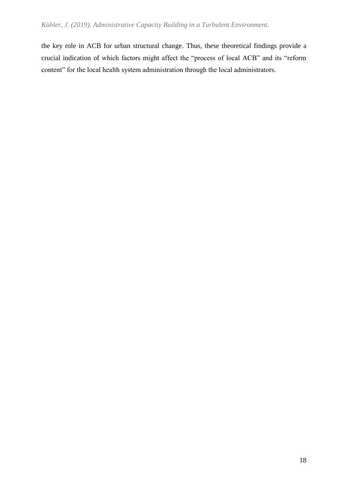the key role in ACB for urban structural change. Thus, these theoretical findings provide a crucial indication of which factors might affect the "process of local ACB" and its "reform content" for the local health system administration through the local administrators.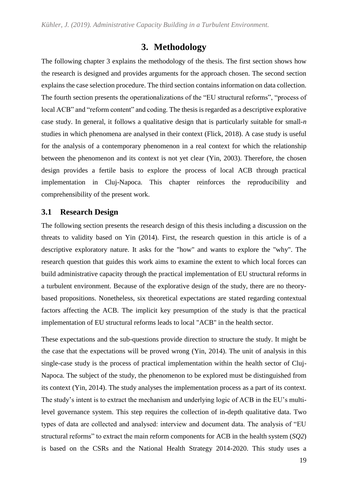# **3. Methodology**

<span id="page-22-0"></span>The following chapter 3 explains the methodology of the thesis. The first section shows how the research is designed and provides arguments for the approach chosen. The second section explains the case selection procedure. The third section contains information on data collection. The fourth section presents the operationalizations of the "EU structural reforms", "process of local ACB" and "reform content" and coding. The thesis is regarded as a descriptive explorative case study. In general, it follows a qualitative design that is particularly suitable for small-*n* studies in which phenomena are analysed in their context (Flick, 2018). A case study is useful for the analysis of a contemporary phenomenon in a real context for which the relationship between the phenomenon and its context is not yet clear (Yin, 2003). Therefore, the chosen design provides a fertile basis to explore the process of local ACB through practical implementation in Cluj-Napoca. This chapter reinforces the reproducibility and comprehensibility of the present work.

# <span id="page-22-1"></span>**3.1 Research Design**

The following section presents the research design of this thesis including a discussion on the threats to validity based on Yin (2014). First, the research question in this article is of a descriptive exploratory nature. It asks for the "how" and wants to explore the "why". The research question that guides this work aims to examine the extent to which local forces can build administrative capacity through the practical implementation of EU structural reforms in a turbulent environment. Because of the explorative design of the study, there are no theorybased propositions. Nonetheless, six theoretical expectations are stated regarding contextual factors affecting the ACB. The implicit key presumption of the study is that the practical implementation of EU structural reforms leads to local "ACB" in the health sector.

These expectations and the sub-questions provide direction to structure the study. It might be the case that the expectations will be proved wrong (Yin, 2014). The unit of analysis in this single-case study is the process of practical implementation within the health sector of Cluj-Napoca. The subject of the study, the phenomenon to be explored must be distinguished from its context (Yin, 2014). The study analyses the implementation process as a part of its context. The study's intent is to extract the mechanism and underlying logic of ACB in the EU's multilevel governance system. This step requires the collection of in-depth qualitative data. Two types of data are collected and analysed: interview and document data. The analysis of "EU structural reforms" to extract the main reform components for ACB in the health system (*SQ2*) is based on the CSRs and the National Health Strategy 2014-2020. This study uses a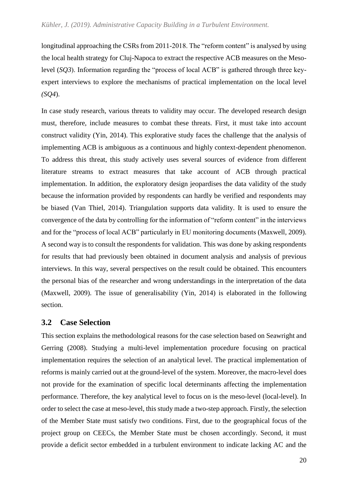longitudinal approaching the CSRs from 2011-2018. The "reform content" is analysed by using the local health strategy for Cluj-Napoca to extract the respective ACB measures on the Mesolevel (*SQ3*). Information regarding the "process of local ACB" is gathered through three keyexpert interviews to explore the mechanisms of practical implementation on the local level *(SQ4*).

In case study research, various threats to validity may occur. The developed research design must, therefore, include measures to combat these threats. First, it must take into account construct validity (Yin, 2014). This explorative study faces the challenge that the analysis of implementing ACB is ambiguous as a continuous and highly context-dependent phenomenon. To address this threat, this study actively uses several sources of evidence from different literature streams to extract measures that take account of ACB through practical implementation. In addition, the exploratory design jeopardises the data validity of the study because the information provided by respondents can hardly be verified and respondents may be biased (Van Thiel, 2014). Triangulation supports data validity. It is used to ensure the convergence of the data by controlling for the information of "reform content" in the interviews and for the "process of local ACB" particularly in EU monitoring documents (Maxwell, 2009). A second way is to consult the respondents for validation. This was done by asking respondents for results that had previously been obtained in document analysis and analysis of previous interviews. In this way, several perspectives on the result could be obtained. This encounters the personal bias of the researcher and wrong understandings in the interpretation of the data (Maxwell, 2009). The issue of generalisability (Yin, 2014) is elaborated in the following section.

## <span id="page-23-0"></span>**3.2 Case Selection**

This section explains the methodological reasons for the case selection based on Seawright and Gerring (2008). Studying a multi-level implementation procedure focusing on practical implementation requires the selection of an analytical level. The practical implementation of reforms is mainly carried out at the ground-level of the system. Moreover, the macro-level does not provide for the examination of specific local determinants affecting the implementation performance. Therefore, the key analytical level to focus on is the meso-level (local-level). In order to select the case at meso-level, this study made a two-step approach. Firstly, the selection of the Member State must satisfy two conditions. First, due to the geographical focus of the project group on CEECs, the Member State must be chosen accordingly. Second, it must provide a deficit sector embedded in a turbulent environment to indicate lacking AC and the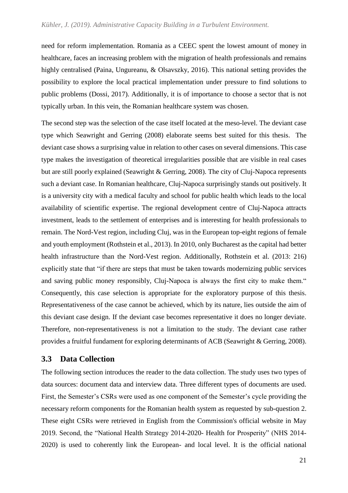need for reform implementation. Romania as a CEEC spent the lowest amount of money in healthcare, faces an increasing problem with the migration of health professionals and remains highly centralised (Paina, Ungureanu, & Olsavszky, 2016). This national setting provides the possibility to explore the local practical implementation under pressure to find solutions to public problems (Dossi, 2017). Additionally, it is of importance to choose a sector that is not typically urban. In this vein, the Romanian healthcare system was chosen.

The second step was the selection of the case itself located at the meso-level. The deviant case type which Seawright and Gerring (2008) elaborate seems best suited for this thesis. The deviant case shows a surprising value in relation to other cases on several dimensions. This case type makes the investigation of theoretical irregularities possible that are visible in real cases but are still poorly explained (Seawright & Gerring, 2008). The city of Cluj-Napoca represents such a deviant case. In Romanian healthcare, Cluj-Napoca surprisingly stands out positively. It is a university city with a medical faculty and school for public health which leads to the local availability of scientific expertise. The regional development centre of Cluj-Napoca attracts investment, leads to the settlement of enterprises and is interesting for health professionals to remain. The Nord-Vest region, including Cluj, was in the European top-eight regions of female and youth employment (Rothstein et al., 2013). In 2010, only Bucharest as the capital had better health infrastructure than the Nord-Vest region. Additionally, Rothstein et al. (2013: 216) explicitly state that "if there are steps that must be taken towards modernizing public services and saving public money responsibly, Cluj-Napoca is always the first city to make them." Consequently, this case selection is appropriate for the exploratory purpose of this thesis. Representativeness of the case cannot be achieved, which by its nature, lies outside the aim of this deviant case design. If the deviant case becomes representative it does no longer deviate. Therefore, non-representativeness is not a limitation to the study. The deviant case rather provides a fruitful fundament for exploring determinants of ACB (Seawright & Gerring, 2008).

## <span id="page-24-0"></span>**3.3 Data Collection**

The following section introduces the reader to the data collection. The study uses two types of data sources: document data and interview data. Three different types of documents are used. First, the Semester's CSRs were used as one component of the Semester's cycle providing the necessary reform components for the Romanian health system as requested by sub-question 2. These eight CSRs were retrieved in English from the Commission's official website in May 2019. Second, the "National Health Strategy 2014-2020- Health for Prosperity" (NHS 2014- 2020) is used to coherently link the European- and local level. It is the official national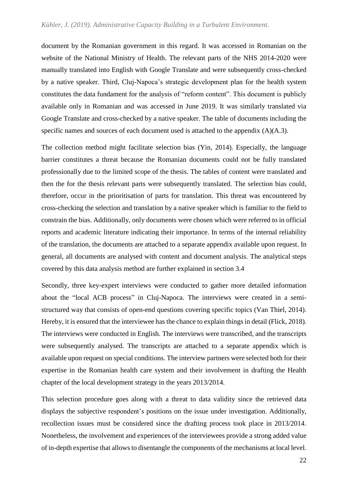document by the Romanian government in this regard. It was accessed in Romanian on the website of the National Ministry of Health. The relevant parts of the NHS 2014-2020 were manually translated into English with Google Translate and were subsequently cross-checked by a native speaker. Third, Cluj-Napoca's strategic development plan for the health system constitutes the data fundament for the analysis of "reform content". This document is publicly available only in Romanian and was accessed in June 2019. It was similarly translated via Google Translate and cross-checked by a native speaker. The table of documents including the specific names and sources of each document used is attached to the appendix (A)(A.3).

The collection method might facilitate selection bias (Yin, 2014). Especially, the language barrier constitutes a threat because the Romanian documents could not be fully translated professionally due to the limited scope of the thesis. The tables of content were translated and then the for the thesis relevant parts were subsequently translated. The selection bias could, therefore, occur in the prioritisation of parts for translation. This threat was encountered by cross-checking the selection and translation by a native speaker which is familiar to the field to constrain the bias. Additionally, only documents were chosen which were referred to in official reports and academic literature indicating their importance. In terms of the internal reliability of the translation, the documents are attached to a separate appendix available upon request. In general, all documents are analysed with content and document analysis. The analytical steps covered by this data analysis method are further explained in section 3.4

Secondly, three key-expert interviews were conducted to gather more detailed information about the "local ACB process" in Cluj-Napoca. The interviews were created in a semistructured way that consists of open-end questions covering specific topics (Van Thiel, 2014). Hereby, it is ensured that the interviewee has the chance to explain things in detail (Flick, 2018). The interviews were conducted in English. The interviews were transcribed, and the transcripts were subsequently analysed. The transcripts are attached to a separate appendix which is available upon request on special conditions. The interview partners were selected both for their expertise in the Romanian health care system and their involvement in drafting the Health chapter of the local development strategy in the years 2013/2014.

This selection procedure goes along with a threat to data validity since the retrieved data displays the subjective respondent's positions on the issue under investigation. Additionally, recollection issues must be considered since the drafting process took place in 2013/2014. Nonetheless, the involvement and experiences of the interviewees provide a strong added value of in-depth expertise that allows to disentangle the components of the mechanisms at local level.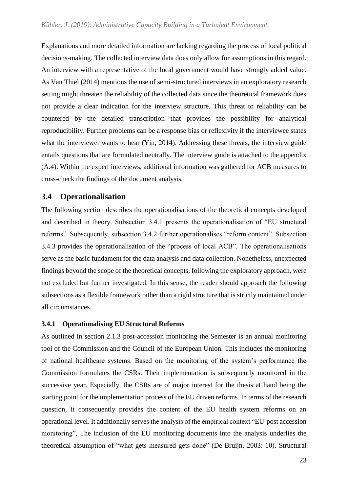Explanations and more detailed information are lacking regarding the process of local political decisions-making. The collected interview data does only allow for assumptions in this regard. An interview with a representative of the local government would have strongly added value. As Van Thiel (2014) mentions the use of semi-structured interviews in an exploratory research setting might threaten the reliability of the collected data since the theoretical framework does not provide a clear indication for the interview structure. This threat to reliability can be countered by the detailed transcription that provides the possibility for analytical reproducibility. Further problems can be a response bias or reflexivity if the interviewee states what the interviewer wants to hear (Yin, 2014). Addressing these threats, the interview guide entails questions that are formulated neutrally. The interview guide is attached to the appendix (A.4). Within the expert interviews, additional information was gathered for ACB measures to cross-check the findings of the document analysis.

## <span id="page-26-0"></span>**3.4 Operationalisation**

The following section describes the operationalisations of the theoretical concepts developed and described in theory. Subsection 3.4.1 presents the operationalisation of "EU structural reforms". Subsequently, subsection 3.4.2 further operationalises "reform content". Subsection 3.4.3 provides the operationalisation of the "process of local ACB". The operationalisations serve as the basic fundament for the data analysis and data collection. Nonetheless, unexpected findings beyond the scope of the theoretical concepts, following the exploratory approach, were not excluded but further investigated. In this sense, the reader should approach the following subsections as a flexible framework rather than a rigid structure that is strictly maintained under all circumstances.

#### **3.4.1 Operationalising EU Structural Reforms**

As outlined in section 2.1.3 post-accession monitoring the Semester is an annual monitoring tool of the Commission and the Council of the European Union. This includes the monitoring of national healthcare systems. Based on the monitoring of the system's performance the Commission formulates the CSRs. Their implementation is subsequently monitored in the successive year. Especially, the CSRs are of major interest for the thesis at hand being the starting point for the implementation process of the EU driven reforms. In terms of the research question, it consequently provides the content of the EU health system reforms on an operational level. It additionally serves the analysis of the empirical context "EU-post accession monitoring". The inclusion of the EU monitoring documents into the analysis underlies the theoretical assumption of "what gets measured gets done" (De Bruijn, 2003: 10). Structural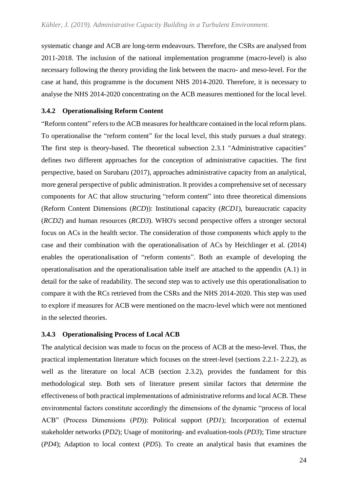systematic change and ACB are long-term endeavours. Therefore, the CSRs are analysed from 2011-2018. The inclusion of the national implementation programme (macro-level) is also necessary following the theory providing the link between the macro- and meso-level. For the case at hand, this programme is the document NHS 2014-2020. Therefore, it is necessary to analyse the NHS 2014-2020 concentrating on the ACB measures mentioned for the local level.

#### **3.4.2 Operationalising Reform Content**

"Reform content" refers to the ACB measures for healthcare contained in the local reform plans. To operationalise the "reform content" for the local level, this study pursues a dual strategy. The first step is theory-based. The theoretical subsection 2.3.1 "Administrative capacities" defines two different approaches for the conception of administrative capacities. The first perspective, based on Surubaru (2017), approaches administrative capacity from an analytical, more general perspective of public administration. It provides a comprehensive set of necessary components for AC that allow structuring "reform content" into three theoretical dimensions (Reform Content Dimensions (*RCD*)): Institutional capacity (*RCD1*), bureaucratic capacity (*RCD2*) and human resources (*RCD3*). WHO's second perspective offers a stronger sectoral focus on ACs in the health sector. The consideration of those components which apply to the case and their combination with the operationalisation of ACs by Heichlinger et al. (2014) enables the operationalisation of "reform contents". Both an example of developing the operationalisation and the operationalisation table itself are attached to the appendix (A.1) in detail for the sake of readability. The second step was to actively use this operationalisation to compare it with the RCs retrieved from the CSRs and the NHS 2014-2020. This step was used to explore if measures for ACB were mentioned on the macro-level which were not mentioned in the selected theories.

#### **3.4.3 Operationalising Process of Local ACB**

The analytical decision was made to focus on the process of ACB at the meso-level. Thus, the practical implementation literature which focuses on the street-level (sections 2.2.1- 2.2.2), as well as the literature on local ACB (section 2.3.2), provides the fundament for this methodological step. Both sets of literature present similar factors that determine the effectiveness of both practical implementations of administrative reforms and local ACB. These environmental factors constitute accordingly the dimensions of the dynamic "process of local ACB" (Process Dimensions (*PD*)): Political support (*PD1*); Incorporation of external stakeholder networks (*PD2*); Usage of monitoring- and evaluation-tools (*PD3*); Time structure (*PD4*); Adaption to local context (*PD5*). To create an analytical basis that examines the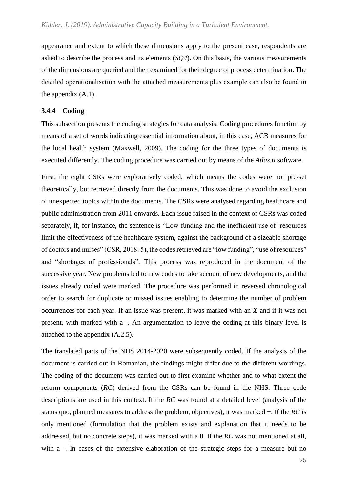appearance and extent to which these dimensions apply to the present case, respondents are asked to describe the process and its elements (*SQ4*). On this basis, the various measurements of the dimensions are queried and then examined for their degree of process determination. The detailed operationalisation with the attached measurements plus example can also be found in the appendix (A.1).

#### **3.4.4 Coding**

This subsection presents the coding strategies for data analysis. Coding procedures function by means of a set of words indicating essential information about, in this case, ACB measures for the local health system (Maxwell, 2009). The coding for the three types of documents is executed differently. The coding procedure was carried out by means of the *Atlas.ti* software.

First, the eight CSRs were exploratively coded, which means the codes were not pre-set theoretically, but retrieved directly from the documents. This was done to avoid the exclusion of unexpected topics within the documents. The CSRs were analysed regarding healthcare and public administration from 2011 onwards. Each issue raised in the context of CSRs was coded separately, if, for instance, the sentence is "Low funding and the inefficient use of resources limit the effectiveness of the healthcare system, against the background of a sizeable shortage of doctors and nurses" (CSR, 2018: 5), the codes retrieved are "low funding", "use of resources" and "shortages of professionals". This process was reproduced in the document of the successive year. New problems led to new codes to take account of new developments, and the issues already coded were marked. The procedure was performed in reversed chronological order to search for duplicate or missed issues enabling to determine the number of problem occurrences for each year. If an issue was present, it was marked with an *X* and if it was not present, with marked with a *-*. An argumentation to leave the coding at this binary level is attached to the appendix (A.2.5).

The translated parts of the NHS 2014-2020 were subsequently coded. If the analysis of the document is carried out in Romanian, the findings might differ due to the different wordings. The coding of the document was carried out to first examine whether and to what extent the reform components (*RC*) derived from the CSRs can be found in the NHS. Three code descriptions are used in this context. If the *RC* was found at a detailed level (analysis of the status quo, planned measures to address the problem, objectives), it was marked **+**. If the *RC* is only mentioned (formulation that the problem exists and explanation that it needs to be addressed, but no concrete steps), it was marked with a **0**. If the *RC* was not mentioned at all, with a -. In cases of the extensive elaboration of the strategic steps for a measure but no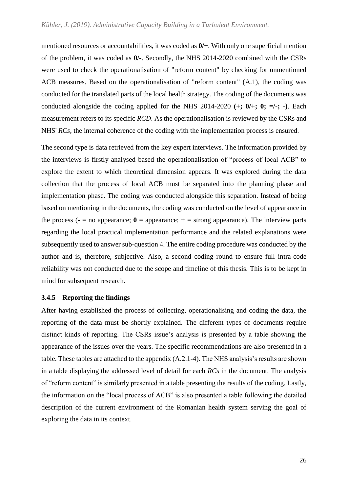mentioned resources or accountabilities, it was coded as **0/+**. With only one superficial mention of the problem, it was coded as **0/-**. Secondly, the NHS 2014-2020 combined with the CSRs were used to check the operationalisation of "reform content" by checking for unmentioned ACB measures. Based on the operationalisation of "reform content" (A.1), the coding was conducted for the translated parts of the local health strategy. The coding of the documents was conducted alongside the coding applied for the NHS 2014-2020  $(+; 0, +; 0; =/-; -)$ . Each measurement refers to its specific *RCD*. As the operationalisation is reviewed by the CSRs and NHS' *RCs*, the internal coherence of the coding with the implementation process is ensured.

The second type is data retrieved from the key expert interviews. The information provided by the interviews is firstly analysed based the operationalisation of "process of local ACB" to explore the extent to which theoretical dimension appears. It was explored during the data collection that the process of local ACB must be separated into the planning phase and implementation phase. The coding was conducted alongside this separation. Instead of being based on mentioning in the documents, the coding was conducted on the level of appearance in the process ( $\text{-}$  = no appearance;  $\textbf{0}$  = appearance;  $\text{+}$  = strong appearance). The interview parts regarding the local practical implementation performance and the related explanations were subsequently used to answer sub-question 4. The entire coding procedure was conducted by the author and is, therefore, subjective. Also, a second coding round to ensure full intra-code reliability was not conducted due to the scope and timeline of this thesis. This is to be kept in mind for subsequent research.

#### **3.4.5 Reporting the findings**

After having established the process of collecting, operationalising and coding the data, the reporting of the data must be shortly explained. The different types of documents require distinct kinds of reporting. The CSRs issue's analysis is presented by a table showing the appearance of the issues over the years. The specific recommendations are also presented in a table. These tables are attached to the appendix (A.2.1-4). The NHS analysis's results are shown in a table displaying the addressed level of detail for each *RCs* in the document. The analysis of "reform content" is similarly presented in a table presenting the results of the coding. Lastly, the information on the "local process of ACB" is also presented a table following the detailed description of the current environment of the Romanian health system serving the goal of exploring the data in its context.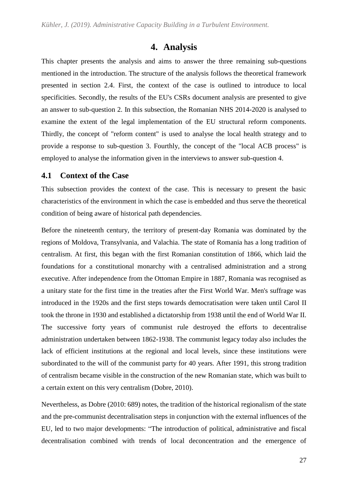# **4. Analysis**

<span id="page-30-0"></span>This chapter presents the analysis and aims to answer the three remaining sub-questions mentioned in the introduction. The structure of the analysis follows the theoretical framework presented in section 2.4. First, the context of the case is outlined to introduce to local specificities. Secondly, the results of the EU's CSRs document analysis are presented to give an answer to sub-question 2. In this subsection, the Romanian NHS 2014-2020 is analysed to examine the extent of the legal implementation of the EU structural reform components. Thirdly, the concept of "reform content" is used to analyse the local health strategy and to provide a response to sub-question 3. Fourthly, the concept of the "local ACB process" is employed to analyse the information given in the interviews to answer sub-question 4.

## <span id="page-30-1"></span>**4.1 Context of the Case**

This subsection provides the context of the case. This is necessary to present the basic characteristics of the environment in which the case is embedded and thus serve the theoretical condition of being aware of historical path dependencies.

Before the nineteenth century, the territory of present-day Romania was dominated by the regions of Moldova, Transylvania, and Valachia. The state of Romania has a long tradition of centralism. At first, this began with the first Romanian constitution of 1866, which laid the foundations for a constitutional monarchy with a centralised administration and a strong executive. After independence from the Ottoman Empire in 1887, Romania was recognised as a unitary state for the first time in the treaties after the First World War. Men's suffrage was introduced in the 1920s and the first steps towards democratisation were taken until Carol II took the throne in 1930 and established a dictatorship from 1938 until the end of World War II. The successive forty years of communist rule destroyed the efforts to decentralise administration undertaken between 1862-1938. The communist legacy today also includes the lack of efficient institutions at the regional and local levels, since these institutions were subordinated to the will of the communist party for 40 years. After 1991, this strong tradition of centralism became visible in the construction of the new Romanian state, which was built to a certain extent on this very centralism (Dobre, 2010).

Nevertheless, as Dobre (2010: 689) notes, the tradition of the historical regionalism of the state and the pre-communist decentralisation steps in conjunction with the external influences of the EU, led to two major developments: "The introduction of political, administrative and fiscal decentralisation combined with trends of local deconcentration and the emergence of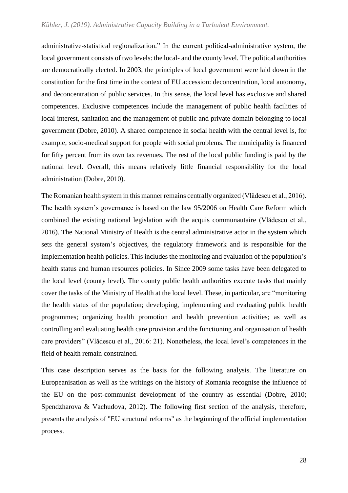administrative-statistical regionalization." In the current political-administrative system, the local government consists of two levels: the local- and the county level. The political authorities are democratically elected. In 2003, the principles of local government were laid down in the constitution for the first time in the context of EU accession: deconcentration, local autonomy, and deconcentration of public services. In this sense, the local level has exclusive and shared competences. Exclusive competences include the management of public health facilities of local interest, sanitation and the management of public and private domain belonging to local government (Dobre, 2010). A shared competence in social health with the central level is, for example, socio-medical support for people with social problems. The municipality is financed for fifty percent from its own tax revenues. The rest of the local public funding is paid by the national level. Overall, this means relatively little financial responsibility for the local administration (Dobre, 2010).

The Romanian health system in this manner remains centrally organized (Vlădescu et al., 2016). The health system's governance is based on the law 95/2006 on Health Care Reform which combined the existing national legislation with the acquis communautaire (Vlădescu et al., 2016). The National Ministry of Health is the central administrative actor in the system which sets the general system's objectives, the regulatory framework and is responsible for the implementation health policies. This includes the monitoring and evaluation of the population's health status and human resources policies. In Since 2009 some tasks have been delegated to the local level (county level). The county public health authorities execute tasks that mainly cover the tasks of the Ministry of Health at the local level. These, in particular, are "monitoring the health status of the population; developing, implementing and evaluating public health programmes; organizing health promotion and health prevention activities; as well as controlling and evaluating health care provision and the functioning and organisation of health care providers" (Vlădescu et al., 2016: 21). Nonetheless, the local level's competences in the field of health remain constrained.

This case description serves as the basis for the following analysis. The literature on Europeanisation as well as the writings on the history of Romania recognise the influence of the EU on the post-communist development of the country as essential (Dobre, 2010; Spendzharova & Vachudova, 2012). The following first section of the analysis, therefore, presents the analysis of "EU structural reforms" as the beginning of the official implementation process.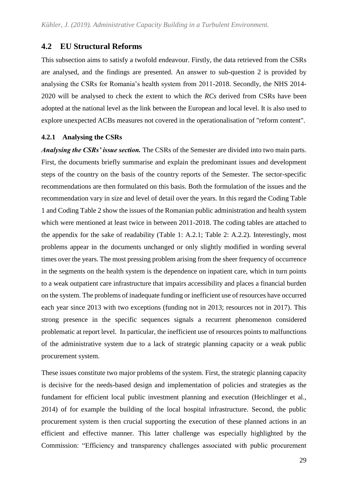## <span id="page-32-0"></span>**4.2 EU Structural Reforms**

This subsection aims to satisfy a twofold endeavour. Firstly, the data retrieved from the CSRs are analysed, and the findings are presented. An answer to sub-question 2 is provided by analysing the CSRs for Romania's health system from 2011-2018. Secondly, the NHS 2014- 2020 will be analysed to check the extent to which the *RCs* derived from CSRs have been adopted at the national level as the link between the European and local level. It is also used to explore unexpected ACBs measures not covered in the operationalisation of "reform content".

#### **4.2.1 Analysing the CSRs**

*Analysing the CSRs' issue section.* The CSRs of the Semester are divided into two main parts. First, the documents briefly summarise and explain the predominant issues and development steps of the country on the basis of the country reports of the Semester. The sector-specific recommendations are then formulated on this basis. Both the formulation of the issues and the recommendation vary in size and level of detail over the years. In this regard the Coding Table 1 and Coding Table 2 show the issues of the Romanian public administration and health system which were mentioned at least twice in between 2011-2018. The coding tables are attached to the appendix for the sake of readability (Table 1: A.2.1; Table 2: A.2.2). Interestingly, most problems appear in the documents unchanged or only slightly modified in wording several times over the years. The most pressing problem arising from the sheer frequency of occurrence in the segments on the health system is the dependence on inpatient care, which in turn points to a weak outpatient care infrastructure that impairs accessibility and places a financial burden on the system. The problems of inadequate funding or inefficient use of resources have occurred each year since 2013 with two exceptions (funding not in 2013; resources not in 2017). This strong presence in the specific sequences signals a recurrent phenomenon considered problematic at report level. In particular, the inefficient use of resources points to malfunctions of the administrative system due to a lack of strategic planning capacity or a weak public procurement system.

These issues constitute two major problems of the system. First, the strategic planning capacity is decisive for the needs-based design and implementation of policies and strategies as the fundament for efficient local public investment planning and execution (Heichlinger et al., 2014) of for example the building of the local hospital infrastructure. Second, the public procurement system is then crucial supporting the execution of these planned actions in an efficient and effective manner. This latter challenge was especially highlighted by the Commission: "Efficiency and transparency challenges associated with public procurement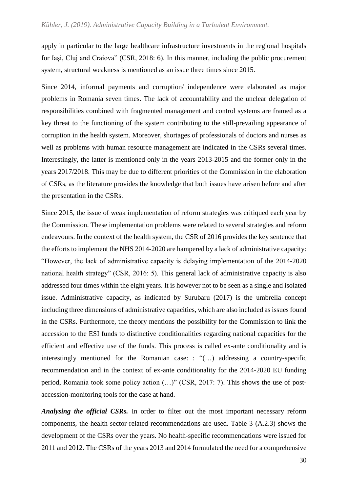#### *Kühler, J. (2019). Administrative Capacity Building in a Turbulent Environment.*

apply in particular to the large healthcare infrastructure investments in the regional hospitals for Iaşi, Cluj and Craiova" (CSR, 2018: 6). In this manner, including the public procurement system, structural weakness is mentioned as an issue three times since 2015.

Since 2014, informal payments and corruption/ independence were elaborated as major problems in Romania seven times. The lack of accountability and the unclear delegation of responsibilities combined with fragmented management and control systems are framed as a key threat to the functioning of the system contributing to the still-prevailing appearance of corruption in the health system. Moreover, shortages of professionals of doctors and nurses as well as problems with human resource management are indicated in the CSRs several times. Interestingly, the latter is mentioned only in the years 2013-2015 and the former only in the years 2017/2018. This may be due to different priorities of the Commission in the elaboration of CSRs, as the literature provides the knowledge that both issues have arisen before and after the presentation in the CSRs.

Since 2015, the issue of weak implementation of reform strategies was critiqued each year by the Commission. These implementation problems were related to several strategies and reform endeavours. In the context of the health system, the CSR of 2016 provides the key sentence that the efforts to implement the NHS 2014-2020 are hampered by a lack of administrative capacity: "However, the lack of administrative capacity is delaying implementation of the 2014-2020 national health strategy" (CSR, 2016: 5). This general lack of administrative capacity is also addressed four times within the eight years. It is however not to be seen as a single and isolated issue. Administrative capacity, as indicated by Surubaru (2017) is the umbrella concept including three dimensions of administrative capacities, which are also included as issues found in the CSRs. Furthermore, the theory mentions the possibility for the Commission to link the accession to the ESI funds to distinctive conditionalities regarding national capacities for the efficient and effective use of the funds. This process is called ex-ante conditionality and is interestingly mentioned for the Romanian case: : "(…) addressing a country-specific recommendation and in the context of ex-ante conditionality for the 2014-2020 EU funding period, Romania took some policy action (…)" (CSR, 2017: 7). This shows the use of postaccession-monitoring tools for the case at hand.

*Analysing the official CSRs.* In order to filter out the most important necessary reform components, the health sector-related recommendations are used. Table 3 (A.2.3) shows the development of the CSRs over the years. No health-specific recommendations were issued for 2011 and 2012. The CSRs of the years 2013 and 2014 formulated the need for a comprehensive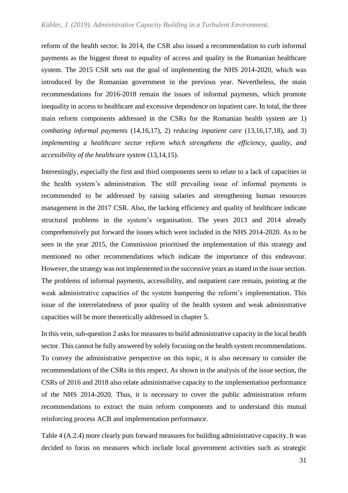reform of the health sector. In 2014, the CSR also issued a recommendation to curb informal payments as the biggest threat to equality of access and quality in the Romanian healthcare system. The 2015 CSR sets out the goal of implementing the NHS 2014-2020, which was introduced by the Romanian government in the previous year. Nevertheless, the main recommendations for 2016-2018 remain the issues of informal payments, which promote inequality in access to healthcare and excessive dependence on inpatient care. In total, the three main reform components addressed in the CSRs for the Romanian health system are 1) *combating informal payments* (14,16,17), 2) *reducing inpatient care* (13,16,17,18), and 3) *implementing a healthcare sector reform which strengthens the efficiency, quality, and accessibility of the healthcare system* (13,14,15).

Interestingly, especially the first and third components seem to relate to a lack of capacities in the health system's administration. The still prevailing issue of informal payments is recommended to be addressed by raising salaries and strengthening human resources management in the 2017 CSR. Also, the lacking efficiency and quality of healthcare indicate structural problems in the system's organisation. The years 2013 and 2014 already comprehensively put forward the issues which were included in the NHS 2014-2020. As to be seen in the year 2015, the Commission prioritised the implementation of this strategy and mentioned no other recommendations which indicate the importance of this endeavour. However, the strategy was not implemented in the successive years as stated in the issue section. The problems of informal payments, accessibility, and outpatient care remain, pointing at the weak administrative capacities of the system hampering the reform's implementation. This issue of the interrelatedness of poor quality of the health system and weak administrative capacities will be more theoretically addressed in chapter 5.

In this vein, sub-question 2 asks for measures to build administrative capacity in the local health sector. This cannot be fully answered by solely focusing on the health system recommendations. To convey the administrative perspective on this topic, it is also necessary to consider the recommendations of the CSRs in this respect. As shown in the analysis of the issue section, the CSRs of 2016 and 2018 also relate administrative capacity to the implementation performance of the NHS 2014-2020. Thus, it is necessary to cover the public administration reform recommendations to extract the main reform components and to understand this mutual reinforcing process ACB and implementation performance.

Table 4 (A.2.4) more clearly puts forward measures for building administrative capacity. It was decided to focus on measures which include local government activities such as strategic

31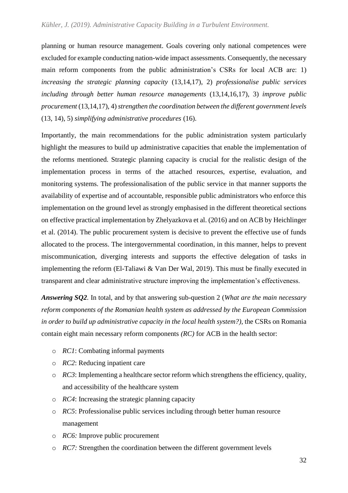#### *Kühler, J. (2019). Administrative Capacity Building in a Turbulent Environment.*

planning or human resource management. Goals covering only national competences were excluded for example conducting nation-wide impact assessments. Consequently, the necessary main reform components from the public administration's CSRs for local ACB are: 1) *increasing the strategic planning capacity* (13,14,17), 2) *professionalise public services including through better human resource managements* (13,14,16,17), 3) *improve public procurement* (13,14,17), 4)*strengthen the coordination between the different government levels*  (13, 14), 5) *simplifying administrative procedures* (16).

Importantly, the main recommendations for the public administration system particularly highlight the measures to build up administrative capacities that enable the implementation of the reforms mentioned. Strategic planning capacity is crucial for the realistic design of the implementation process in terms of the attached resources, expertise, evaluation, and monitoring systems. The professionalisation of the public service in that manner supports the availability of expertise and of accountable, responsible public administrators who enforce this implementation on the ground level as strongly emphasised in the different theoretical sections on effective practical implementation by Zhelyazkova et al. (2016) and on ACB by Heichlinger et al. (2014). The public procurement system is decisive to prevent the effective use of funds allocated to the process. The intergovernmental coordination, in this manner, helps to prevent miscommunication, diverging interests and supports the effective delegation of tasks in implementing the reform (El-Taliawi & Van Der Wal, 2019). This must be finally executed in transparent and clear administrative structure improving the implementation's effectiveness.

*Answering SQ2.* In total, and by that answering sub-question 2 (*What are the main necessary reform components of the Romanian health system as addressed by the European Commission in order to build up administrative capacity in the local health system?),* the CSRs on Romania contain eight main necessary reform components *(RC)* for ACB in the health sector:

- o *RC1*: Combating informal payments
- o *RC2*: Reducing inpatient care
- o *RC3*: Implementing a healthcare sector reform which strengthens the efficiency, quality, and accessibility of the healthcare system
- o *RC4*: Increasing the strategic planning capacity
- o *RC5*: Professionalise public services including through better human resource management
- o *RC6:* Improve public procurement
- o *RC7:* Strengthen the coordination between the different government levels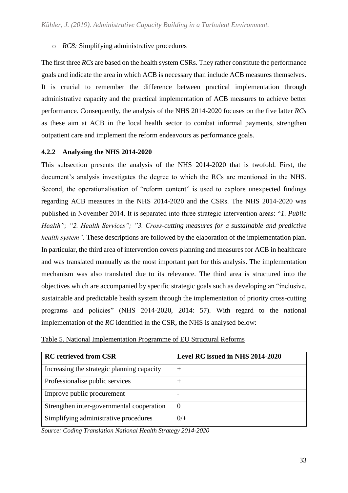o *RC8:* Simplifying administrative procedures

The first three *RCs* are based on the health system CSRs. They rather constitute the performance goals and indicate the area in which ACB is necessary than include ACB measures themselves. It is crucial to remember the difference between practical implementation through administrative capacity and the practical implementation of ACB measures to achieve better performance. Consequently, the analysis of the NHS 2014-2020 focuses on the five latter *RCs* as these aim at ACB in the local health sector to combat informal payments, strengthen outpatient care and implement the reform endeavours as performance goals.

### **4.2.2 Analysing the NHS 2014-2020**

This subsection presents the analysis of the NHS 2014-2020 that is twofold. First, the document's analysis investigates the degree to which the RCs are mentioned in the NHS. Second, the operationalisation of "reform content" is used to explore unexpected findings regarding ACB measures in the NHS 2014-2020 and the CSRs. The NHS 2014-2020 was published in November 2014. It is separated into three strategic intervention areas: "*1. Public Health"; "2. Health Services"; "3. Cross-cutting measures for a sustainable and predictive health system".* These descriptions are followed by the elaboration of the implementation plan. In particular, the third area of intervention covers planning and measures for ACB in healthcare and was translated manually as the most important part for this analysis. The implementation mechanism was also translated due to its relevance. The third area is structured into the objectives which are accompanied by specific strategic goals such as developing an "inclusive, sustainable and predictable health system through the implementation of priority cross-cutting programs and policies" (NHS 2014-2020, 2014: 57). With regard to the national implementation of the *RC* identified in the CSR, the NHS is analysed below:

| <b>RC</b> retrieved from CSR               | Level RC issued in NHS 2014-2020 |
|--------------------------------------------|----------------------------------|
| Increasing the strategic planning capacity | $^+$                             |
| Professionalise public services            |                                  |
| Improve public procurement                 |                                  |
| Strengthen inter-governmental cooperation  | 0                                |
| Simplifying administrative procedures      | 0/                               |

| Table 5. National Implementation Programme of EU Structural Reforms |
|---------------------------------------------------------------------|
|---------------------------------------------------------------------|

*Source: Coding Translation National Health Strategy 2014-2020*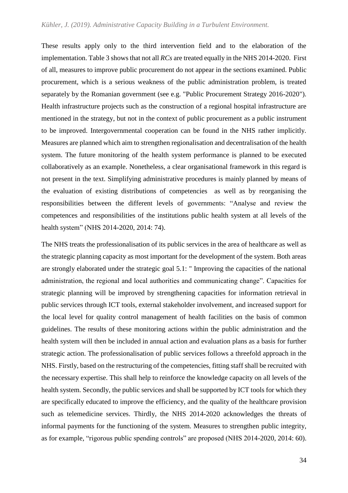These results apply only to the third intervention field and to the elaboration of the implementation. Table 3 shows that not all *RCs* are treated equally in the NHS 2014-2020. First of all, measures to improve public procurement do not appear in the sections examined. Public procurement, which is a serious weakness of the public administration problem, is treated separately by the Romanian government (see e.g. "Public Procurement Strategy 2016-2020"). Health infrastructure projects such as the construction of a regional hospital infrastructure are mentioned in the strategy, but not in the context of public procurement as a public instrument to be improved. Intergovernmental cooperation can be found in the NHS rather implicitly. Measures are planned which aim to strengthen regionalisation and decentralisation of the health system. The future monitoring of the health system performance is planned to be executed collaboratively as an example. Nonetheless, a clear organisational framework in this regard is not present in the text. Simplifying administrative procedures is mainly planned by means of the evaluation of existing distributions of competencies as well as by reorganising the responsibilities between the different levels of governments: "Analyse and review the competences and responsibilities of the institutions public health system at all levels of the health system" (NHS 2014-2020, 2014: 74).

The NHS treats the professionalisation of its public services in the area of healthcare as well as the strategic planning capacity as most important for the development of the system. Both areas are strongly elaborated under the strategic goal 5.1: " Improving the capacities of the national administration, the regional and local authorities and communicating change". Capacities for strategic planning will be improved by strengthening capacities for information retrieval in public services through ICT tools, external stakeholder involvement, and increased support for the local level for quality control management of health facilities on the basis of common guidelines. The results of these monitoring actions within the public administration and the health system will then be included in annual action and evaluation plans as a basis for further strategic action. The professionalisation of public services follows a threefold approach in the NHS. Firstly, based on the restructuring of the competencies, fitting staff shall be recruited with the necessary expertise. This shall help to reinforce the knowledge capacity on all levels of the health system. Secondly, the public services and shall be supported by ICT tools for which they are specifically educated to improve the efficiency, and the quality of the healthcare provision such as telemedicine services. Thirdly, the NHS 2014-2020 acknowledges the threats of informal payments for the functioning of the system. Measures to strengthen public integrity, as for example, "rigorous public spending controls" are proposed (NHS 2014-2020, 2014: 60).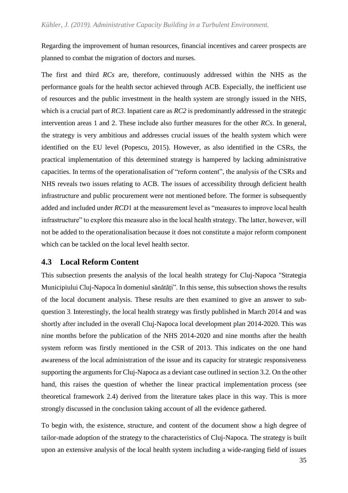Regarding the improvement of human resources, financial incentives and career prospects are planned to combat the migration of doctors and nurses.

The first and third *RCs* are, therefore, continuously addressed within the NHS as the performance goals for the health sector achieved through ACB. Especially, the inefficient use of resources and the public investment in the health system are strongly issued in the NHS, which is a crucial part of *RC3*. Inpatient care as *RC2* is predominantly addressed in the strategic intervention areas 1 and 2. These include also further measures for the other *RCs*. In general, the strategy is very ambitious and addresses crucial issues of the health system which were identified on the EU level (Popescu, 2015). However, as also identified in the CSRs, the practical implementation of this determined strategy is hampered by lacking administrative capacities. In terms of the operationalisation of "reform content", the analysis of the CSRs and NHS reveals two issues relating to ACB. The issues of accessibility through deficient health infrastructure and public procurement were not mentioned before. The former is subsequently added and included under *RCD*1 at the measurement level as "measures to improve local health infrastructure" to explore this measure also in the local health strategy. The latter, however, will not be added to the operationalisation because it does not constitute a major reform component which can be tackled on the local level health sector.

### **4.3 Local Reform Content**

This subsection presents the analysis of the local health strategy for Cluj-Napoca "Strategia Municipiului Cluj-Napoca în domeniul sănătăți". In this sense, this subsection shows the results of the local document analysis. These results are then examined to give an answer to subquestion 3. Interestingly, the local health strategy was firstly published in March 2014 and was shortly after included in the overall Cluj-Napoca local development plan 2014-2020. This was nine months before the publication of the NHS 2014-2020 and nine months after the health system reform was firstly mentioned in the CSR of 2013. This indicates on the one hand awareness of the local administration of the issue and its capacity for strategic responsiveness supporting the arguments for Cluj-Napoca as a deviant case outlined in section 3.2. On the other hand, this raises the question of whether the linear practical implementation process (see theoretical framework 2.4) derived from the literature takes place in this way. This is more strongly discussed in the conclusion taking account of all the evidence gathered.

To begin with, the existence, structure, and content of the document show a high degree of tailor-made adoption of the strategy to the characteristics of Cluj-Napoca. The strategy is built upon an extensive analysis of the local health system including a wide-ranging field of issues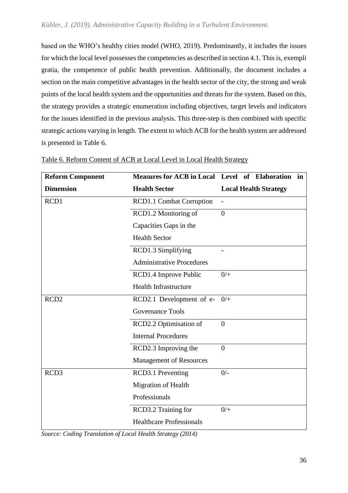based on the WHO's healthy cities model (WHO, 2019). Predominantly, it includes the issues for which the local level possesses the competencies as described in section 4.1. This is, exempli gratia, the competence of public health prevention. Additionally, the document includes a section on the main competitive advantages in the health sector of the city, the strong and weak points of the local health system and the opportunities and threats for the system. Based on this, the strategy provides a strategic enumeration including objectives, target levels and indicators for the issues identified in the previous analysis. This three-step is then combined with specific strategic actions varying in length. The extent to which ACB for the health system are addressed is presented in Table 6.

| <b>Reform Component</b> | <b>Measures for ACB in Local Level of Elaboration</b> | in                           |
|-------------------------|-------------------------------------------------------|------------------------------|
| <b>Dimension</b>        | <b>Health Sector</b>                                  | <b>Local Health Strategy</b> |
| RCD1                    | <b>RCD1.1 Combat Corruption</b>                       |                              |
|                         | RCD1.2 Monitoring of                                  | $\overline{0}$               |
|                         | Capacities Gaps in the                                |                              |
|                         | <b>Health Sector</b>                                  |                              |
|                         | RCD1.3 Simplifying                                    |                              |
|                         | <b>Administrative Procedures</b>                      |                              |
|                         | RCD1.4 Improve Public                                 | $0/$ +                       |
|                         | <b>Health Infrastructure</b>                          |                              |
| RCD <sub>2</sub>        | RCD2.1 Development of e-                              | $0/$ +                       |
|                         | <b>Governance Tools</b>                               |                              |
|                         | RCD2.2 Optimisation of                                | $\overline{0}$               |
|                         | <b>Internal Procedures</b>                            |                              |
|                         | RCD2.3 Improving the                                  | $\overline{0}$               |
|                         | <b>Management of Resources</b>                        |                              |
| RCD3                    | RCD3.1 Preventing                                     | $0/-$                        |
|                         | Migration of Health                                   |                              |
|                         | Professionals                                         |                              |
|                         | RCD3.2 Training for                                   | $0/+$                        |
|                         | <b>Healthcare Professionals</b>                       |                              |

| Table 6. Reform Content of ACB at Local Level in Local Health Strategy |
|------------------------------------------------------------------------|
|------------------------------------------------------------------------|

*Source: Coding Translation of Local Health Strategy (2014)*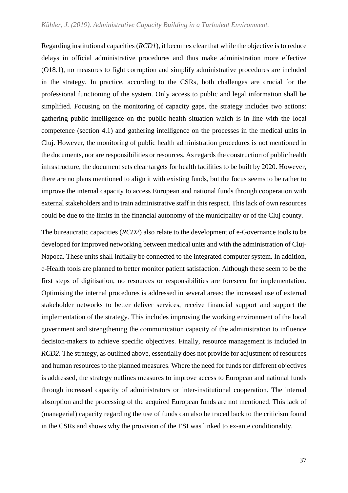Regarding institutional capacities (*RCD1*), it becomes clear that while the objective is to reduce delays in official administrative procedures and thus make administration more effective (O18.1), no measures to fight corruption and simplify administrative procedures are included in the strategy. In practice, according to the CSRs, both challenges are crucial for the professional functioning of the system. Only access to public and legal information shall be simplified. Focusing on the monitoring of capacity gaps, the strategy includes two actions: gathering public intelligence on the public health situation which is in line with the local competence (section 4.1) and gathering intelligence on the processes in the medical units in Cluj. However, the monitoring of public health administration procedures is not mentioned in the documents, nor are responsibilities or resources. As regards the construction of public health infrastructure, the document sets clear targets for health facilities to be built by 2020. However, there are no plans mentioned to align it with existing funds, but the focus seems to be rather to improve the internal capacity to access European and national funds through cooperation with external stakeholders and to train administrative staff in this respect. This lack of own resources could be due to the limits in the financial autonomy of the municipality or of the Cluj county.

The bureaucratic capacities (*RCD2*) also relate to the development of e-Governance tools to be developed for improved networking between medical units and with the administration of Cluj-Napoca. These units shall initially be connected to the integrated computer system. In addition, e-Health tools are planned to better monitor patient satisfaction. Although these seem to be the first steps of digitisation, no resources or responsibilities are foreseen for implementation. Optimising the internal procedures is addressed in several areas: the increased use of external stakeholder networks to better deliver services, receive financial support and support the implementation of the strategy. This includes improving the working environment of the local government and strengthening the communication capacity of the administration to influence decision-makers to achieve specific objectives. Finally, resource management is included in *RCD2*. The strategy, as outlined above, essentially does not provide for adjustment of resources and human resources to the planned measures. Where the need for funds for different objectives is addressed, the strategy outlines measures to improve access to European and national funds through increased capacity of administrators or inter-institutional cooperation. The internal absorption and the processing of the acquired European funds are not mentioned. This lack of (managerial) capacity regarding the use of funds can also be traced back to the criticism found in the CSRs and shows why the provision of the ESI was linked to ex-ante conditionality.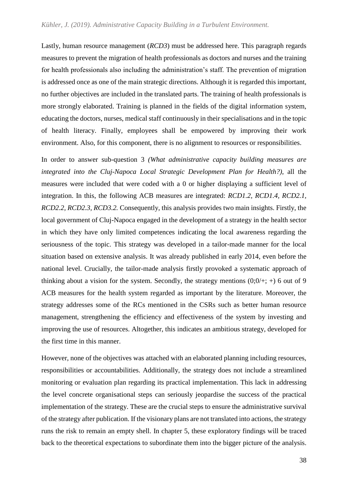Lastly, human resource management (*RCD3*) must be addressed here. This paragraph regards measures to prevent the migration of health professionals as doctors and nurses and the training for health professionals also including the administration's staff. The prevention of migration is addressed once as one of the main strategic directions. Although it is regarded this important, no further objectives are included in the translated parts. The training of health professionals is more strongly elaborated. Training is planned in the fields of the digital information system, educating the doctors, nurses, medical staff continuously in their specialisations and in the topic of health literacy. Finally, employees shall be empowered by improving their work environment. Also, for this component, there is no alignment to resources or responsibilities.

In order to answer sub-question 3 *(What administrative capacity building measures are integrated into the Cluj-Napoca Local Strategic Development Plan for Health?)*, all the measures were included that were coded with a 0 or higher displaying a sufficient level of integration. In this, the following ACB measures are integrated: *RCD1.2, RCD1.4, RCD2.1, RCD2.2, RCD2.3, RCD3.2.* Consequently, this analysis provides two main insights. Firstly, the local government of Cluj-Napoca engaged in the development of a strategy in the health sector in which they have only limited competences indicating the local awareness regarding the seriousness of the topic. This strategy was developed in a tailor-made manner for the local situation based on extensive analysis. It was already published in early 2014, even before the national level. Crucially, the tailor-made analysis firstly provoked a systematic approach of thinking about a vision for the system. Secondly, the strategy mentions  $(0,0/+; +)$  6 out of 9 ACB measures for the health system regarded as important by the literature. Moreover, the strategy addresses some of the RCs mentioned in the CSRs such as better human resource management, strengthening the efficiency and effectiveness of the system by investing and improving the use of resources. Altogether, this indicates an ambitious strategy, developed for the first time in this manner.

However, none of the objectives was attached with an elaborated planning including resources, responsibilities or accountabilities. Additionally, the strategy does not include a streamlined monitoring or evaluation plan regarding its practical implementation. This lack in addressing the level concrete organisational steps can seriously jeopardise the success of the practical implementation of the strategy. These are the crucial steps to ensure the administrative survival of the strategy after publication. If the visionary plans are not translated into actions, the strategy runs the risk to remain an empty shell. In chapter 5, these exploratory findings will be traced back to the theoretical expectations to subordinate them into the bigger picture of the analysis.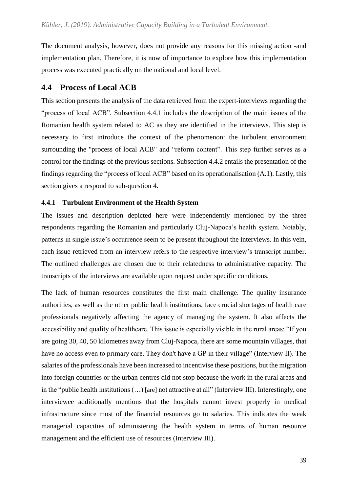The document analysis, however, does not provide any reasons for this missing action -and implementation plan. Therefore, it is now of importance to explore how this implementation process was executed practically on the national and local level.

### **4.4 Process of Local ACB**

This section presents the analysis of the data retrieved from the expert-interviews regarding the "process of local ACB". Subsection 4.4.1 includes the description of the main issues of the Romanian health system related to AC as they are identified in the interviews. This step is necessary to first introduce the context of the phenomenon: the turbulent environment surrounding the "process of local ACB" and "reform content". This step further serves as a control for the findings of the previous sections. Subsection 4.4.2 entails the presentation of the findings regarding the "process of local ACB" based on its operationalisation (A.1). Lastly, this section gives a respond to sub-question 4.

### **4.4.1 Turbulent Environment of the Health System**

The issues and description depicted here were independently mentioned by the three respondents regarding the Romanian and particularly Cluj-Napoca's health system. Notably, patterns in single issue's occurrence seem to be present throughout the interviews. In this vein, each issue retrieved from an interview refers to the respective interview's transcript number. The outlined challenges are chosen due to their relatedness to administrative capacity. The transcripts of the interviews are available upon request under specific conditions.

The lack of human resources constitutes the first main challenge. The quality insurance authorities, as well as the other public health institutions, face crucial shortages of health care professionals negatively affecting the agency of managing the system. It also affects the accessibility and quality of healthcare. This issue is especially visible in the rural areas: "If you are going 30, 40, 50 kilometres away from Cluj-Napoca, there are some mountain villages, that have no access even to primary care. They don't have a GP in their village" (Interview II). The salaries of the professionals have been increased to incentivise these positions, but the migration into foreign countries or the urban centres did not stop because the work in the rural areas and in the "public health institutions (…) [are] not attractive at all" (Interview III). Interestingly, one interviewee additionally mentions that the hospitals cannot invest properly in medical infrastructure since most of the financial resources go to salaries. This indicates the weak managerial capacities of administering the health system in terms of human resource management and the efficient use of resources (Interview III).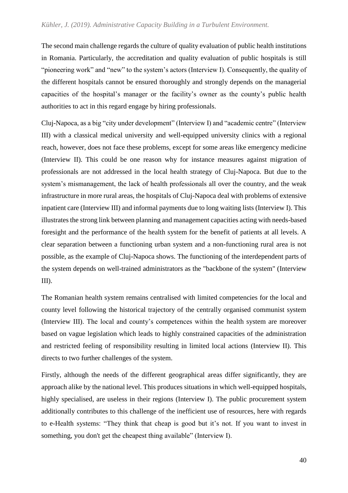The second main challenge regards the culture of quality evaluation of public health institutions in Romania. Particularly, the accreditation and quality evaluation of public hospitals is still "pioneering work" and "new" to the system's actors (Interview I). Consequently, the quality of the different hospitals cannot be ensured thoroughly and strongly depends on the managerial capacities of the hospital's manager or the facility's owner as the county's public health authorities to act in this regard engage by hiring professionals.

Cluj-Napoca, as a big "city under development" (Interview I) and "academic centre" (Interview III) with a classical medical university and well-equipped university clinics with a regional reach, however, does not face these problems, except for some areas like emergency medicine (Interview II). This could be one reason why for instance measures against migration of professionals are not addressed in the local health strategy of Cluj-Napoca. But due to the system's mismanagement, the lack of health professionals all over the country, and the weak infrastructure in more rural areas, the hospitals of Cluj-Napoca deal with problems of extensive inpatient care (Interview III) and informal payments due to long waiting lists (Interview I). This illustrates the strong link between planning and management capacities acting with needs-based foresight and the performance of the health system for the benefit of patients at all levels. A clear separation between a functioning urban system and a non-functioning rural area is not possible, as the example of Cluj-Napoca shows. The functioning of the interdependent parts of the system depends on well-trained administrators as the "backbone of the system" (Interview III).

The Romanian health system remains centralised with limited competencies for the local and county level following the historical trajectory of the centrally organised communist system (Interview III). The local and county's competences within the health system are moreover based on vague legislation which leads to highly constrained capacities of the administration and restricted feeling of responsibility resulting in limited local actions (Interview II). This directs to two further challenges of the system.

Firstly, although the needs of the different geographical areas differ significantly, they are approach alike by the national level. This produces situations in which well-equipped hospitals, highly specialised, are useless in their regions (Interview I). The public procurement system additionally contributes to this challenge of the inefficient use of resources, here with regards to e-Health systems: "They think that cheap is good but it's not. If you want to invest in something, you don't get the cheapest thing available" (Interview I).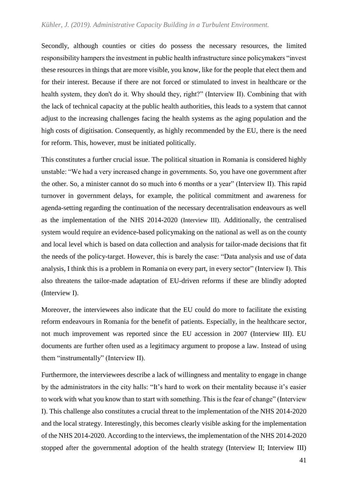#### *Kühler, J. (2019). Administrative Capacity Building in a Turbulent Environment.*

Secondly, although counties or cities do possess the necessary resources, the limited responsibility hampers the investment in public health infrastructure since policymakers "invest these resources in things that are more visible, you know, like for the people that elect them and for their interest. Because if there are not forced or stimulated to invest in healthcare or the health system, they don't do it. Why should they, right?" (Interview II). Combining that with the lack of technical capacity at the public health authorities, this leads to a system that cannot adjust to the increasing challenges facing the health systems as the aging population and the high costs of digitisation. Consequently, as highly recommended by the EU, there is the need for reform. This, however, must be initiated politically.

This constitutes a further crucial issue. The political situation in Romania is considered highly unstable: "We had a very increased change in governments. So, you have one government after the other. So, a minister cannot do so much into 6 months or a year" (Interview II). This rapid turnover in government delays, for example, the political commitment and awareness for agenda-setting regarding the continuation of the necessary decentralisation endeavours as well as the implementation of the NHS 2014-2020 (Interview III). Additionally, the centralised system would require an evidence-based policymaking on the national as well as on the county and local level which is based on data collection and analysis for tailor-made decisions that fit the needs of the policy-target. However, this is barely the case: "Data analysis and use of data analysis, I think this is a problem in Romania on every part, in every sector" (Interview I). This also threatens the tailor-made adaptation of EU-driven reforms if these are blindly adopted (Interview I).

Moreover, the interviewees also indicate that the EU could do more to facilitate the existing reform endeavours in Romania for the benefit of patients. Especially, in the healthcare sector, not much improvement was reported since the EU accession in 2007 (Interview III). EU documents are further often used as a legitimacy argument to propose a law. Instead of using them "instrumentally" (Interview II).

Furthermore, the interviewees describe a lack of willingness and mentality to engage in change by the administrators in the city halls: "It's hard to work on their mentality because it's easier to work with what you know than to start with something. This is the fear of change" (Interview I). This challenge also constitutes a crucial threat to the implementation of the NHS 2014-2020 and the local strategy. Interestingly, this becomes clearly visible asking for the implementation of the NHS 2014-2020. According to the interviews, the implementation of the NHS 2014-2020 stopped after the governmental adoption of the health strategy (Interview II; Interview III)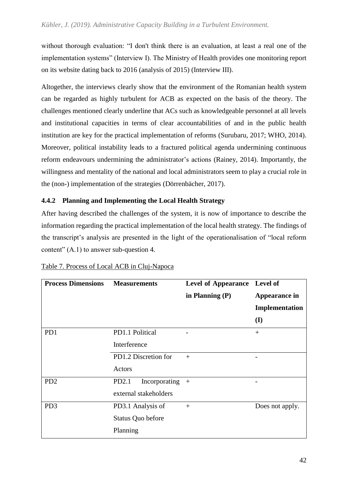without thorough evaluation: "I don't think there is an evaluation, at least a real one of the implementation systems" (Interview I). The Ministry of Health provides one monitoring report on its website dating back to 2016 (analysis of 2015) (Interview III).

Altogether, the interviews clearly show that the environment of the Romanian health system can be regarded as highly turbulent for ACB as expected on the basis of the theory. The challenges mentioned clearly underline that ACs such as knowledgeable personnel at all levels and institutional capacities in terms of clear accountabilities of and in the public health institution are key for the practical implementation of reforms (Surubaru, 2017; WHO, 2014). Moreover, political instability leads to a fractured political agenda undermining continuous reform endeavours undermining the administrator's actions (Rainey, 2014). Importantly, the willingness and mentality of the national and local administrators seem to play a crucial role in the (non-) implementation of the strategies (Dörrenbächer, 2017).

### **4.4.2 Planning and Implementing the Local Health Strategy**

After having described the challenges of the system, it is now of importance to describe the information regarding the practical implementation of the local health strategy. The findings of the transcript's analysis are presented in the light of the operationalisation of "local reform content" (A.1) to answer sub-question 4*.* 

| <b>Process Dimensions</b> | <b>Measurements</b>                                               | Level of Appearance Level of<br>in Planning $(P)$ | Appearance in<br>Implementation<br>(I) |
|---------------------------|-------------------------------------------------------------------|---------------------------------------------------|----------------------------------------|
| PD1                       | PD1.1 Political<br>Interference<br>PD1.2 Discretion for<br>Actors | $+$                                               | $+$                                    |
| PD <sub>2</sub>           | Incorporating<br>PD2.1<br>external stakeholders                   | $+$                                               | -                                      |
| PD <sub>3</sub>           | PD3.1 Analysis of<br>Status Quo before<br>Planning                | $^{+}$                                            | Does not apply.                        |

| Table 7. Process of Local ACB in Cluj-Napoca |  |  |  |
|----------------------------------------------|--|--|--|
|                                              |  |  |  |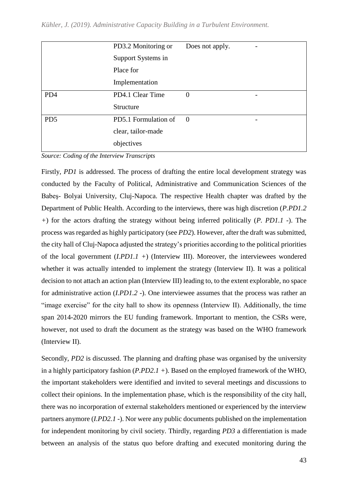|                 | PD3.2 Monitoring or  | Does not apply. |                          |
|-----------------|----------------------|-----------------|--------------------------|
|                 | Support Systems in   |                 |                          |
|                 | Place for            |                 |                          |
|                 | Implementation       |                 |                          |
| PD4             | PD4.1 Clear Time     | $\theta$        |                          |
|                 | Structure            |                 |                          |
| PD <sub>5</sub> | PD5.1 Formulation of | $\Omega$        | $\overline{\phantom{0}}$ |
|                 | clear, tailor-made   |                 |                          |
|                 | objectives           |                 |                          |

*Source: Coding of the Interview Transcripts*

Firstly, *PD1* is addressed. The process of drafting the entire local development strategy was conducted by the Faculty of Political, Administrative and Communication Sciences of the Babeş- Bolyai University, Cluj-Napoca. The respective Health chapter was drafted by the Department of Public Health. According to the interviews, there was high discretion (*P.PD1.2 +*) for the actors drafting the strategy without being inferred politically (*P. PD1.1 -*). The process was regarded as highly participatory (see *PD2*). However, after the draft was submitted, the city hall of Cluj-Napoca adjusted the strategy's priorities according to the political priorities of the local government (*I.PD1.1 +*) (Interview III). Moreover, the interviewees wondered whether it was actually intended to implement the strategy (Interview II). It was a political decision to not attach an action plan (Interview III) leading to, to the extent explorable, no space for administrative action (*I.PD1.2 -*). One interviewee assumes that the process was rather an "image exercise" for the city hall to show its openness (Interview II). Additionally, the time span 2014-2020 mirrors the EU funding framework. Important to mention, the CSRs were, however, not used to draft the document as the strategy was based on the WHO framework (Interview II).

Secondly, *PD2* is discussed. The planning and drafting phase was organised by the university in a highly participatory fashion (*P.PD2.1 +*). Based on the employed framework of the WHO, the important stakeholders were identified and invited to several meetings and discussions to collect their opinions. In the implementation phase, which is the responsibility of the city hall, there was no incorporation of external stakeholders mentioned or experienced by the interview partners anymore (*I.PD2.1 -*). Nor were any public documents published on the implementation for independent monitoring by civil society. Thirdly, regarding *PD3* a differentiation is made between an analysis of the status quo before drafting and executed monitoring during the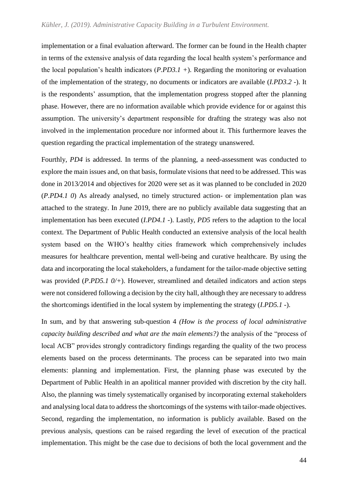implementation or a final evaluation afterward. The former can be found in the Health chapter in terms of the extensive analysis of data regarding the local health system's performance and the local population's health indicators (*P.PD3.1 +*). Regarding the monitoring or evaluation of the implementation of the strategy, no documents or indicators are available (*I.PD3.2 -*). It is the respondents' assumption, that the implementation progress stopped after the planning phase. However, there are no information available which provide evidence for or against this assumption. The university's department responsible for drafting the strategy was also not involved in the implementation procedure nor informed about it. This furthermore leaves the question regarding the practical implementation of the strategy unanswered.

Fourthly, *PD4* is addressed. In terms of the planning, a need-assessment was conducted to explore the main issues and, on that basis, formulate visions that need to be addressed. This was done in 2013/2014 and objectives for 2020 were set as it was planned to be concluded in 2020 (*P.PD4.1 0*) As already analysed, no timely structured action- or implementation plan was attached to the strategy. In June 2019, there are no publicly available data suggesting that an implementation has been executed (*I.PD4.1 -*). Lastly, *PD5* refers to the adaption to the local context. The Department of Public Health conducted an extensive analysis of the local health system based on the WHO's healthy cities framework which comprehensively includes measures for healthcare prevention, mental well-being and curative healthcare. By using the data and incorporating the local stakeholders, a fundament for the tailor-made objective setting was provided (*P.PD5.1 0/+*). However, streamlined and detailed indicators and action steps were not considered following a decision by the city hall, although they are necessary to address the shortcomings identified in the local system by implementing the strategy (*I.PD5.1 -*).

In sum, and by that answering sub-question 4 *(How is the process of local administrative capacity building described and what are the main elements?)* the analysis of the "process of local ACB" provides strongly contradictory findings regarding the quality of the two process elements based on the process determinants. The process can be separated into two main elements: planning and implementation. First, the planning phase was executed by the Department of Public Health in an apolitical manner provided with discretion by the city hall. Also, the planning was timely systematically organised by incorporating external stakeholders and analysing local data to address the shortcomings of the systems with tailor-made objectives. Second, regarding the implementation, no information is publicly available. Based on the previous analysis, questions can be raised regarding the level of execution of the practical implementation. This might be the case due to decisions of both the local government and the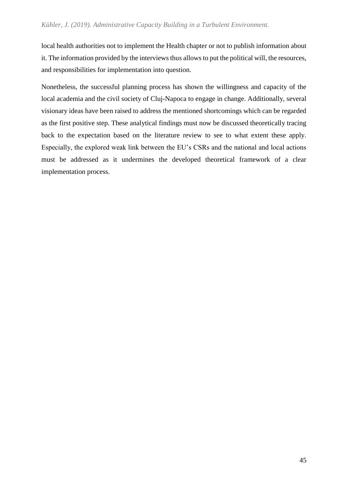local health authorities not to implement the Health chapter or not to publish information about it. The information provided by the interviews thus allows to put the political will, the resources, and responsibilities for implementation into question.

Nonetheless, the successful planning process has shown the willingness and capacity of the local academia and the civil society of Cluj-Napoca to engage in change. Additionally, several visionary ideas have been raised to address the mentioned shortcomings which can be regarded as the first positive step. These analytical findings must now be discussed theoretically tracing back to the expectation based on the literature review to see to what extent these apply. Especially, the explored weak link between the EU's CSRs and the national and local actions must be addressed as it undermines the developed theoretical framework of a clear implementation process.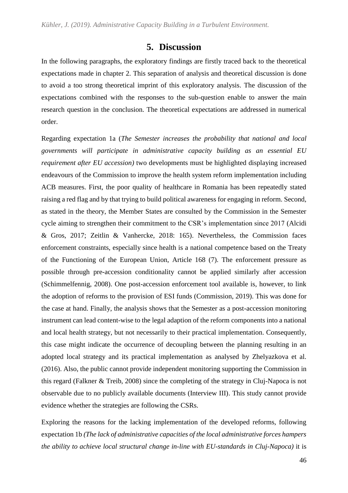### **5. Discussion**

In the following paragraphs, the exploratory findings are firstly traced back to the theoretical expectations made in chapter 2. This separation of analysis and theoretical discussion is done to avoid a too strong theoretical imprint of this exploratory analysis. The discussion of the expectations combined with the responses to the sub-question enable to answer the main research question in the conclusion. The theoretical expectations are addressed in numerical order.

Regarding expectation 1a (*The Semester increases the probability that national and local governments will participate in administrative capacity building as an essential EU requirement after EU accession)* two developments must be highlighted displaying increased endeavours of the Commission to improve the health system reform implementation including ACB measures. First, the poor quality of healthcare in Romania has been repeatedly stated raising a red flag and by that trying to build political awareness for engaging in reform. Second, as stated in the theory, the Member States are consulted by the Commission in the Semester cycle aiming to strengthen their commitment to the CSR's implementation since 2017 (Alcidi & Gros, 2017; Zeitlin & Vanhercke, 2018: 165). Nevertheless, the Commission faces enforcement constraints, especially since health is a national competence based on the Treaty of the Functioning of the European Union, Article 168 (7). The enforcement pressure as possible through pre-accession conditionality cannot be applied similarly after accession (Schimmelfennig, 2008). One post-accession enforcement tool available is, however, to link the adoption of reforms to the provision of ESI funds (Commission, 2019). This was done for the case at hand. Finally, the analysis shows that the Semester as a post-accession monitoring instrument can lead content-wise to the legal adaption of the reform components into a national and local health strategy, but not necessarily to their practical implementation. Consequently, this case might indicate the occurrence of decoupling between the planning resulting in an adopted local strategy and its practical implementation as analysed by Zhelyazkova et al. (2016). Also, the public cannot provide independent monitoring supporting the Commission in this regard (Falkner & Treib, 2008) since the completing of the strategy in Cluj-Napoca is not observable due to no publicly available documents (Interview III). This study cannot provide evidence whether the strategies are following the CSRs.

Exploring the reasons for the lacking implementation of the developed reforms, following expectation 1b *(The lack of administrative capacities of the local administrative forces hampers the ability to achieve local structural change in-line with EU-standards in Cluj-Napoca)* it is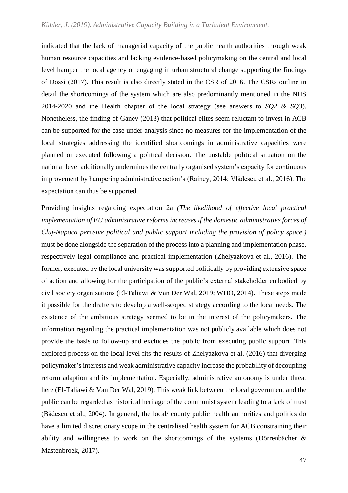indicated that the lack of managerial capacity of the public health authorities through weak human resource capacities and lacking evidence-based policymaking on the central and local level hamper the local agency of engaging in urban structural change supporting the findings of Dossi (2017). This result is also directly stated in the CSR of 2016. The CSRs outline in detail the shortcomings of the system which are also predominantly mentioned in the NHS 2014-2020 and the Health chapter of the local strategy (see answers to *SQ2 & SQ3*). Nonetheless, the finding of Ganev (2013) that political elites seem reluctant to invest in ACB can be supported for the case under analysis since no measures for the implementation of the local strategies addressing the identified shortcomings in administrative capacities were planned or executed following a political decision. The unstable political situation on the national level additionally undermines the centrally organised system's capacity for continuous improvement by hampering administrative action's (Rainey, 2014; Vlădescu et al., 2016). The expectation can thus be supported.

Providing insights regarding expectation 2a *(The likelihood of effective local practical implementation of EU administrative reforms increases if the domestic administrative forces of Cluj-Napoca perceive political and public support including the provision of policy space.)*  must be done alongside the separation of the process into a planning and implementation phase, respectively legal compliance and practical implementation (Zhelyazkova et al., 2016). The former, executed by the local university was supported politically by providing extensive space of action and allowing for the participation of the public's external stakeholder embodied by civil society organisations (El-Taliawi & Van Der Wal, 2019; WHO, 2014). These steps made it possible for the drafters to develop a well-scoped strategy according to the local needs. The existence of the ambitious strategy seemed to be in the interest of the policymakers. The information regarding the practical implementation was not publicly available which does not provide the basis to follow-up and excludes the public from executing public support .This explored process on the local level fits the results of Zhelyazkova et al. (2016) that diverging policymaker's interests and weak administrative capacity increase the probability of decoupling reform adaption and its implementation. Especially, administrative autonomy is under threat here (El-Taliawi & Van Der Wal, 2019). This weak link between the local government and the public can be regarded as historical heritage of the communist system leading to a lack of trust (Bădescu et al., 2004). In general, the local/ county public health authorities and politics do have a limited discretionary scope in the centralised health system for ACB constraining their ability and willingness to work on the shortcomings of the systems (Dörrenbächer & Mastenbroek, 2017).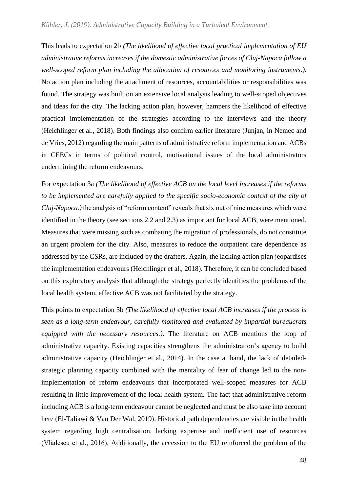This leads to expectation 2b *(The likelihood of effective local practical implementation of EU administrative reforms increases if the domestic administrative forces of Cluj-Napoca follow a well-scoped reform plan including the allocation of resources and monitoring instruments.)*. No action plan including the attachment of resources, accountabilities or responsibilities was found. The strategy was built on an extensive local analysis leading to well-scoped objectives and ideas for the city. The lacking action plan, however, hampers the likelihood of effective practical implementation of the strategies according to the interviews and the theory (Heichlinger et al., 2018). Both findings also confirm earlier literature (Junjan, in Nemec and de Vries, 2012) regarding the main patterns of administrative reform implementation and ACBs in CEECs in terms of political control, motivational issues of the local administrators undermining the reform endeavours.

For expectation 3a *(The likelihood of effective ACB on the local level increases if the reforms to be implemented are carefully applied to the specific socio-economic context of the city of Cluj-Napoca.)* the analysis of "reform content" reveals that six out of nine measures which were identified in the theory (see sections 2.2 and 2.3) as important for local ACB, were mentioned. Measures that were missing such as combating the migration of professionals, do not constitute an urgent problem for the city. Also, measures to reduce the outpatient care dependence as addressed by the CSRs, are included by the drafters. Again, the lacking action plan jeopardises the implementation endeavours (Heichlinger et al., 2018). Therefore, it can be concluded based on this exploratory analysis that although the strategy perfectly identifies the problems of the local health system, effective ACB was not facilitated by the strategy.

This points to expectation 3b *(The likelihood of effective local ACB increases if the process is seen as a long-term endeavour, carefully monitored and evaluated by impartial bureaucrats equipped with the necessary resources.)*. The literature on ACB mentions the loop of administrative capacity. Existing capacities strengthens the administration's agency to build administrative capacity (Heichlinger et al., 2014). In the case at hand, the lack of detailedstrategic planning capacity combined with the mentality of fear of change led to the nonimplementation of reform endeavours that incorporated well-scoped measures for ACB resulting in little improvement of the local health system. The fact that administrative reform including ACB is a long-term endeavour cannot be neglected and must be also take into account here (El-Taliawi & Van Der Wal, 2019). Historical path dependencies are visible in the health system regarding high centralisation, lacking expertise and inefficient use of resources (Vlădescu et al., 2016). Additionally, the accession to the EU reinforced the problem of the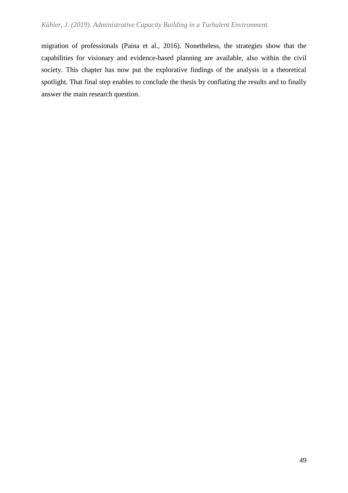migration of professionals (Paina et al., 2016). Nonetheless, the strategies show that the capabilities for visionary and evidence-based planning are available, also within the civil society. This chapter has now put the explorative findings of the analysis in a theoretical spotlight. That final step enables to conclude the thesis by conflating the results and to finally answer the main research question.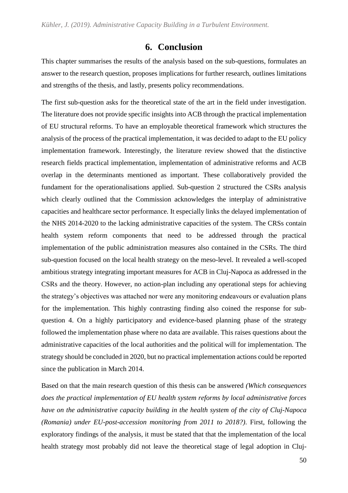## **6. Conclusion**

This chapter summarises the results of the analysis based on the sub-questions, formulates an answer to the research question, proposes implications for further research, outlines limitations and strengths of the thesis, and lastly, presents policy recommendations.

The first sub-question asks for the theoretical state of the art in the field under investigation. The literature does not provide specific insights into ACB through the practical implementation of EU structural reforms. To have an employable theoretical framework which structures the analysis of the process of the practical implementation, it was decided to adapt to the EU policy implementation framework. Interestingly, the literature review showed that the distinctive research fields practical implementation, implementation of administrative reforms and ACB overlap in the determinants mentioned as important. These collaboratively provided the fundament for the operationalisations applied. Sub-question 2 structured the CSRs analysis which clearly outlined that the Commission acknowledges the interplay of administrative capacities and healthcare sector performance. It especially links the delayed implementation of the NHS 2014-2020 to the lacking administrative capacities of the system. The CRSs contain health system reform components that need to be addressed through the practical implementation of the public administration measures also contained in the CSRs. The third sub-question focused on the local health strategy on the meso-level. It revealed a well-scoped ambitious strategy integrating important measures for ACB in Cluj-Napoca as addressed in the CSRs and the theory. However, no action-plan including any operational steps for achieving the strategy's objectives was attached nor were any monitoring endeavours or evaluation plans for the implementation. This highly contrasting finding also coined the response for subquestion 4. On a highly participatory and evidence-based planning phase of the strategy followed the implementation phase where no data are available. This raises questions about the administrative capacities of the local authorities and the political will for implementation. The strategy should be concluded in 2020, but no practical implementation actions could be reported since the publication in March 2014.

Based on that the main research question of this thesis can be answered *(Which consequences does the practical implementation of EU health system reforms by local administrative forces have on the administrative capacity building in the health system of the city of Cluj-Napoca (Romania) under EU-post-accession monitoring from 2011 to 2018?)*. First, following the exploratory findings of the analysis, it must be stated that that the implementation of the local health strategy most probably did not leave the theoretical stage of legal adoption in Cluj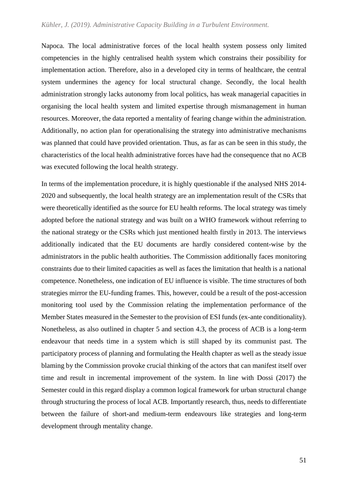Napoca. The local administrative forces of the local health system possess only limited competencies in the highly centralised health system which constrains their possibility for implementation action. Therefore, also in a developed city in terms of healthcare, the central system undermines the agency for local structural change. Secondly, the local health administration strongly lacks autonomy from local politics, has weak managerial capacities in organising the local health system and limited expertise through mismanagement in human resources. Moreover, the data reported a mentality of fearing change within the administration. Additionally, no action plan for operationalising the strategy into administrative mechanisms was planned that could have provided orientation. Thus, as far as can be seen in this study, the characteristics of the local health administrative forces have had the consequence that no ACB was executed following the local health strategy.

In terms of the implementation procedure, it is highly questionable if the analysed NHS 2014- 2020 and subsequently, the local health strategy are an implementation result of the CSRs that were theoretically identified as the source for EU health reforms. The local strategy was timely adopted before the national strategy and was built on a WHO framework without referring to the national strategy or the CSRs which just mentioned health firstly in 2013. The interviews additionally indicated that the EU documents are hardly considered content-wise by the administrators in the public health authorities. The Commission additionally faces monitoring constraints due to their limited capacities as well as faces the limitation that health is a national competence. Nonetheless, one indication of EU influence is visible. The time structures of both strategies mirror the EU-funding frames. This, however, could be a result of the post-accession monitoring tool used by the Commission relating the implementation performance of the Member States measured in the Semester to the provision of ESI funds (ex-ante conditionality). Nonetheless, as also outlined in chapter 5 and section 4.3, the process of ACB is a long-term endeavour that needs time in a system which is still shaped by its communist past. The participatory process of planning and formulating the Health chapter as well as the steady issue blaming by the Commission provoke crucial thinking of the actors that can manifest itself over time and result in incremental improvement of the system. In line with Dossi (2017) the Semester could in this regard display a common logical framework for urban structural change through structuring the process of local ACB. Importantly research, thus, needs to differentiate between the failure of short-and medium-term endeavours like strategies and long-term development through mentality change.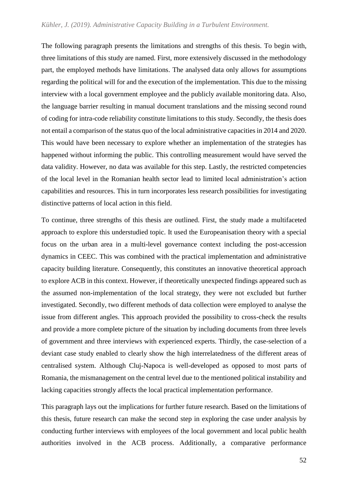The following paragraph presents the limitations and strengths of this thesis. To begin with, three limitations of this study are named. First, more extensively discussed in the methodology part, the employed methods have limitations. The analysed data only allows for assumptions regarding the political will for and the execution of the implementation. This due to the missing interview with a local government employee and the publicly available monitoring data. Also, the language barrier resulting in manual document translations and the missing second round of coding for intra-code reliability constitute limitations to this study. Secondly, the thesis does not entail a comparison of the status quo of the local administrative capacities in 2014 and 2020. This would have been necessary to explore whether an implementation of the strategies has happened without informing the public. This controlling measurement would have served the data validity. However, no data was available for this step. Lastly, the restricted competencies of the local level in the Romanian health sector lead to limited local administration's action capabilities and resources. This in turn incorporates less research possibilities for investigating distinctive patterns of local action in this field.

To continue, three strengths of this thesis are outlined. First, the study made a multifaceted approach to explore this understudied topic. It used the Europeanisation theory with a special focus on the urban area in a multi-level governance context including the post-accession dynamics in CEEC. This was combined with the practical implementation and administrative capacity building literature. Consequently, this constitutes an innovative theoretical approach to explore ACB in this context. However, if theoretically unexpected findings appeared such as the assumed non-implementation of the local strategy, they were not excluded but further investigated. Secondly, two different methods of data collection were employed to analyse the issue from different angles. This approach provided the possibility to cross-check the results and provide a more complete picture of the situation by including documents from three levels of government and three interviews with experienced experts. Thirdly, the case-selection of a deviant case study enabled to clearly show the high interrelatedness of the different areas of centralised system. Although Cluj-Napoca is well-developed as opposed to most parts of Romania, the mismanagement on the central level due to the mentioned political instability and lacking capacities strongly affects the local practical implementation performance.

This paragraph lays out the implications for further future research. Based on the limitations of this thesis, future research can make the second step in exploring the case under analysis by conducting further interviews with employees of the local government and local public health authorities involved in the ACB process. Additionally, a comparative performance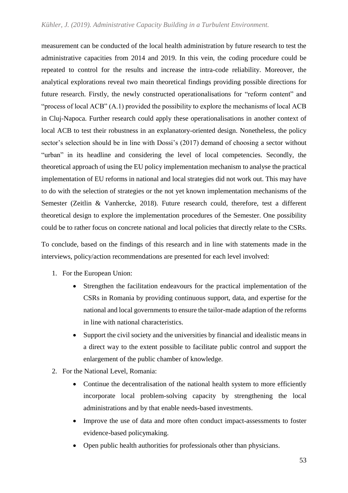measurement can be conducted of the local health administration by future research to test the administrative capacities from 2014 and 2019. In this vein, the coding procedure could be repeated to control for the results and increase the intra-code reliability. Moreover, the analytical explorations reveal two main theoretical findings providing possible directions for future research. Firstly, the newly constructed operationalisations for "reform content" and "process of local ACB" (A.1) provided the possibility to explore the mechanisms of local ACB in Cluj-Napoca. Further research could apply these operationalisations in another context of local ACB to test their robustness in an explanatory-oriented design. Nonetheless, the policy sector's selection should be in line with Dossi's (2017) demand of choosing a sector without "urban" in its headline and considering the level of local competencies. Secondly, the theoretical approach of using the EU policy implementation mechanism to analyse the practical implementation of EU reforms in national and local strategies did not work out. This may have to do with the selection of strategies or the not yet known implementation mechanisms of the Semester (Zeitlin & Vanhercke, 2018). Future research could, therefore, test a different theoretical design to explore the implementation procedures of the Semester. One possibility could be to rather focus on concrete national and local policies that directly relate to the CSRs.

To conclude, based on the findings of this research and in line with statements made in the interviews, policy/action recommendations are presented for each level involved:

- 1. For the European Union:
	- Strengthen the facilitation endeavours for the practical implementation of the CSRs in Romania by providing continuous support, data, and expertise for the national and local governments to ensure the tailor-made adaption of the reforms in line with national characteristics.
	- Support the civil society and the universities by financial and idealistic means in a direct way to the extent possible to facilitate public control and support the enlargement of the public chamber of knowledge.
- 2. For the National Level, Romania:
	- Continue the decentralisation of the national health system to more efficiently incorporate local problem-solving capacity by strengthening the local administrations and by that enable needs-based investments.
	- Improve the use of data and more often conduct impact-assessments to foster evidence-based policymaking.
	- Open public health authorities for professionals other than physicians.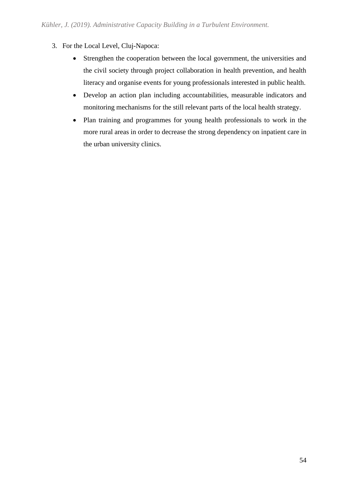- 3. For the Local Level, Cluj-Napoca:
	- Strengthen the cooperation between the local government, the universities and the civil society through project collaboration in health prevention, and health literacy and organise events for young professionals interested in public health.
	- Develop an action plan including accountabilities, measurable indicators and monitoring mechanisms for the still relevant parts of the local health strategy.
	- Plan training and programmes for young health professionals to work in the more rural areas in order to decrease the strong dependency on inpatient care in the urban university clinics.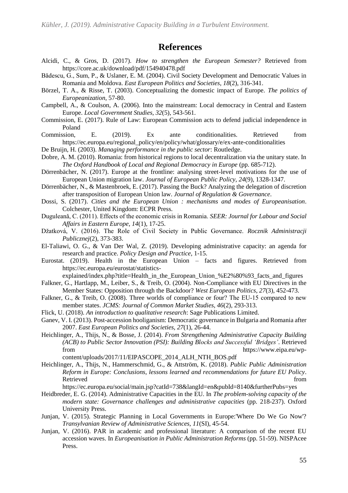## **References**

- Alcidi, C., & Gros, D. (2017). *How to strengthen the European Semester?* Retrieved from https://core.ac.uk/download/pdf/154940478.pdf
- Bădescu, G., Sum, P., & Uslaner, E. M. (2004). Civil Society Development and Democratic Values in Romania and Moldova. *East European Politics and Societies, 18*(2), 316-341.
- Börzel, T. A., & Risse, T. (2003). Conceptualizing the domestic impact of Europe. *The politics of Europeanization*, 57-80.
- Campbell, A., & Coulson, A. (2006). Into the mainstream: Local democracy in Central and Eastern Europe. *Local Government Studies, 32*(5), 543-561.
- Commission, E. (2017). Rule of Law: European Commission acts to defend judicial independence in Poland
- Commission, E. (2019). Ex ante conditionalities. Retrieved from https://ec.europa.eu/regional\_policy/en/policy/what/glossary/e/ex-ante-conditionalities

De Bruijn, H. (2003). *Managing performance in the public sector*: Routledge.

- Dobre, A. M. (2010). Romania: from historical regions to local decentralization via the unitary state. In *The Oxford Handbook of Local and Regional Democracy in Europe* (pp. 685-712).
- Dörrenbächer, N. (2017). Europe at the frontline: analysing street-level motivations for the use of European Union migration law. *Journal of European Public Policy, 24*(9), 1328-1347.
- Dörrenbächer, N., & Mastenbroek, E. (2017). Passing the Buck? Analyzing the delegation of discretion after transposition of European Union law. *Journal of Regulation & Governance*.
- Dossi, S. (2017). *Cities and the European Union : mechanisms and modes of Europeanisation*. Colchester, United Kingdom: ECPR Press.
- Duguleanǎ, C. (2011). Effects of the economic crisis in Romania. *SEER: Journal for Labour and Social Affairs in Eastern Europe, 14*(1), 17-25.
- Džatková, V. (2016). The Role of Civil Society in Public Governance. *Rocznik Administracji Publicznej*(2), 373-383.
- El-Taliawi, O. G., & Van Der Wal, Z. (2019). Developing administrative capacity: an agenda for research and practice. *Policy Design and Practice*, 1-15.
- Eurostat. (2019). Health in the European Union facts and figures. Retrieved from https://ec.europa.eu/eurostat/statistics-

explained/index.php?title=Health\_in\_the\_European\_Union\_%E2%80%93\_facts\_and\_figures

- Falkner, G., Hartlapp, M., Leiber, S., & Treib, O. (2004). Non-Compliance with EU Directives in the Member States: Opposition through the Backdoor? *West European Politics, 27*(3), 452-473.
- Falkner, G., & Treib, O. (2008). Three worlds of compliance or four? The EU-15 compared to new member states. *JCMS: Journal of Common Market Studies, 46*(2), 293-313.
- Flick, U. (2018). *An introduction to qualitative research*: Sage Publications Limited.
- Ganev, V. I. (2013). Post-accession hooliganism: Democratic governance in Bulgaria and Romania after 2007. *East European Politics and Societies, 27*(1), 26-44.
- Heichlinger, A., Thijs, N., & Bosse, J. (2014). *From Strengthening Administrative Capacity Building (ACB) to Public Sector Innovation (PSI): Building Blocks and Successful 'Bridges'*. Retrieved from https://www.eipa.eu/wpcontent/uploads/2017/11/EIPASCOPE\_2014\_ALH\_NTH\_BOS.pdf
- Heichlinger, A., Thijs, N., Hammerschmid, G., & Attström, K. (2018). *Public Public Administration Reform in Europe: Conclusions, lessons learned and recommendations for future EU Policy*.

Retrieved from the state of the state of the state of the state of the state of the state of the state of the state of the state of the state of the state of the state of the state of the state of the state of the state of

https://ec.europa.eu/social/main.jsp?catId=738&langId=en&pubId=8140&furtherPubs=yes

- Heidbreder, E. G. (2014). Administrative Capacities in the EU. In *The problem-solving capacity of the modern state: Governance challenges and administrative capacities* (pp. 218-237). Oxford University Press.
- Junjan, V. (2015). Strategic Planning in Local Governments in Europe:'Where Do We Go Now'? *Transylvanian Review of Administrative Sciences, 11*(SI), 45-54.
- Junjan, V. (2016). PAR in academic and professional literature: A comparison of the recent EU accession waves. In *Europeanisation in Public Administration Reforms* (pp. 51-59). NISPAcee Press.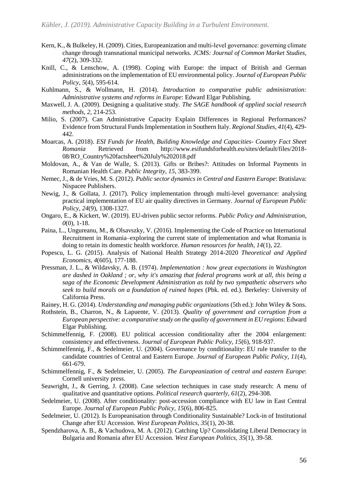- Kern, K., & Bulkeley, H. (2009). Cities, Europeanization and multi-level governance: governing climate change through transnational municipal networks. *JCMS: Journal of Common Market Studies, 47*(2), 309-332.
- Knill, C., & Lenschow, A. (1998). Coping with Europe: the impact of British and German administrations on the implementation of EU environmental policy. *Journal of European Public Policy, 5*(4), 595-614.
- Kuhlmann, S., & Wollmann, H. (2014). *Introduction to comparative public administration: Administrative systems and reforms in Europe*: Edward Elgar Publishing.
- Maxwell, J. A. (2009). Designing a qualitative study. *The SAGE handbook of applied social research methods, 2*, 214-253.
- Milio, S. (2007). Can Administrative Capacity Explain Differences in Regional Performances? Evidence from Structural Funds Implementation in Southern Italy. *Regional Studies, 41*(4), 429- 442.
- Moarcas, A. (2018). *ESI Funds for Health, Building Knowledge and Capacities- Country Fact Sheet Romania* Retrieved from http://www.esifundsforhealth.eu/sites/default/files/2018- 08/RO\_Country%20factsheet%20July%202018.pdf
- Moldovan, A., & Van de Walle, S. (2013). Gifts or Bribes?: Attitudes on Informal Payments in Romanian Health Care. *Public Integrity, 15*, 383-399.
- Nemec, J., & de Vries, M. S. (2012). *Public sector dynamics in Central and Eastern Europe*: Bratislava: Nispacee Publishers.
- Newig, J., & Gollata, J. (2017). Policy implementation through multi-level governance: analysing practical implementation of EU air quality directives in Germany. *Journal of European Public Policy, 24*(9), 1308-1327.
- Ongaro, E., & Kickert, W. (2019). EU-driven public sector reforms. *Public Policy and Administration, 0*(0), 1-18.
- Paina, L., Ungureanu, M., & Olsavszky, V. (2016). Implementing the Code of Practice on International Recruitment in Romania–exploring the current state of implementation and what Romania is doing to retain its domestic health workforce. *Human resources for health, 14*(1), 22.
- Popescu, L. G. (2015). Analysis of National Health Strategy 2014-2020 *Theoretical and Applied Economics, 4*(605), 177-188.
- Pressman, J. L., & Wildavsky, A. B. (1974). *Implementation : how great expectations in Washington are dashed in Oakland ; or, why it's amazing that federal programs work at all, this being a saga of the Economic Development Administration as told by two sympathetic observers who seek to build morals on a foundation of ruined hopes* (Pbk. ed. ed.). Berkeley: University of California Press.
- Rainey, H. G. (2014). *Understanding and managing public organizations* (5th ed.): John Wiley & Sons.
- Rothstein, B., Charron, N., & Lapuente, V. (2013). *Quality of government and corruption from a European perspective: a comparative study on the quality of government in EU regions*: Edward Elgar Publishing.
- Schimmelfennig, F. (2008). EU political accession conditionality after the 2004 enlargement: consistency and effectiveness. *Journal of European Public Policy, 15*(6), 918-937.
- Schimmelfennig, F., & Sedelmeier, U. (2004). Governance by conditionality: EU rule transfer to the candidate countries of Central and Eastern Europe. *Journal of European Public Policy, 11*(4), 661-679.
- Schimmelfennig, F., & Sedelmeier, U. (2005). *The Europeanization of central and eastern Europe*: Cornell university press.
- Seawright, J., & Gerring, J. (2008). Case selection techniques in case study research: A menu of qualitative and quantitative options. *Political research quarterly, 61*(2), 294-308.
- Sedelmeier, U. (2008). After conditionality: post-accession compliance with EU law in East Central Europe. *Journal of European Public Policy, 15*(6), 806-825.
- Sedelmeier, U. (2012). Is Europeanisation through Conditionality Sustainable? Lock-in of Institutional Change after EU Accession. *West European Politics, 35*(1), 20-38.
- Spendzharova, A. B., & Vachudova, M. A. (2012). Catching Up? Consolidating Liberal Democracy in Bulgaria and Romania after EU Accession. *West European Politics, 35*(1), 39-58.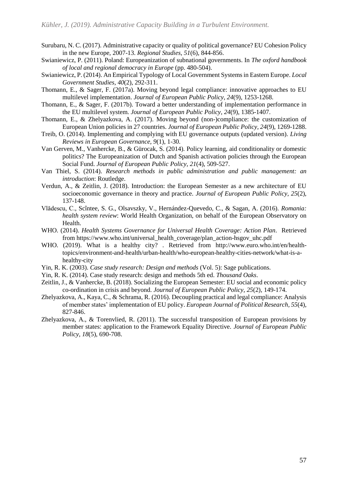- Surubaru, N. C. (2017). Administrative capacity or quality of political governance? EU Cohesion Policy in the new Europe, 2007-13. *Regional Studies, 51*(6), 844-856.
- Swianiewicz, P. (2011). Poland: Europeanization of subnational governments. In *The oxford handbook of local and regional democracy in Europe* (pp. 480-504).
- Swianiewicz, P. (2014). An Empirical Typology of Local Government Systems in Eastern Europe. *Local Government Studies, 40*(2), 292-311.
- Thomann, E., & Sager, F. (2017a). Moving beyond legal compliance: innovative approaches to EU multilevel implementation. *Journal of European Public Policy, 24*(9), 1253-1268.
- Thomann, E., & Sager, F. (2017b). Toward a better understanding of implementation performance in the EU multilevel system. *Journal of European Public Policy, 24*(9), 1385-1407.
- Thomann, E., & Zhelyazkova, A. (2017). Moving beyond (non-)compliance: the customization of European Union policies in 27 countries. *Journal of European Public Policy, 24*(9), 1269-1288.
- Treib, O. (2014). Implementing and complying with EU governance outputs (updated version). *Living Reviews in European Governance, 9*(1), 1-30.
- Van Gerven, M., Vanhercke, B., & Gürocak, S. (2014). Policy learning, aid conditionality or domestic politics? The Europeanization of Dutch and Spanish activation policies through the European Social Fund. *Journal of European Public Policy, 21*(4), 509-527.
- Van Thiel, S. (2014). *Research methods in public administration and public management: an introduction*: Routledge.
- Verdun, A., & Zeitlin, J. (2018). Introduction: the European Semester as a new architecture of EU socioeconomic governance in theory and practice. *Journal of European Public Policy, 25*(2), 137-148.
- Vlădescu, C., Scîntee, S. G., Olsavszky, V., Hernández-Quevedo, C., & Sagan, A. (2016). *Romania: health system review*: World Health Organization, on behalf of the European Observatory on Health.
- WHO. (2014). *Health Systems Governance for Universal Health Coverage: Action Plan*. Retrieved from https://www.who.int/universal\_health\_coverage/plan\_action-hsgov\_uhc.pdf
- WHO. (2019). What is a healthy city? . Retrieved from http://www.euro.who.int/en/healthtopics/environment-and-health/urban-health/who-european-healthy-cities-network/what-is-ahealthy-city
- Yin, R. K. (2003). *Case study research: Design and methods* (Vol. 5): Sage publications.
- Yin, R. K. (2014). Case study research: design and methods 5th ed. *Thousand Oaks*.
- Zeitlin, J., & Vanhercke, B. (2018). Socializing the European Semester: EU social and economic policy co-ordination in crisis and beyond. *Journal of European Public Policy, 25*(2), 149-174.
- Zhelyazkova, A., Kaya, C., & Schrama, R. (2016). Decoupling practical and legal compliance: Analysis of member states' implementation of EU policy. *European Journal of Political Research, 55*(4), 827-846.
- Zhelyazkova, A., & Torenvlied, R. (2011). The successful transposition of European provisions by member states: application to the Framework Equality Directive. *Journal of European Public Policy, 18*(5), 690-708.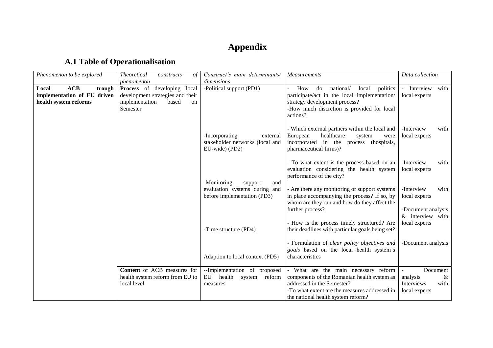# **Appendix**

## **A.1 Table of Operationalisation**

| Phenomenon to be explored                                                      | <b>Theoretical</b><br>$\sigma f$<br>constructs<br>phenomenon                                                              | Construct's main determinants/<br>dimensions                                    | <b>Measurements</b>                                                                                                                                                                                      | Data collection                                                                    |
|--------------------------------------------------------------------------------|---------------------------------------------------------------------------------------------------------------------------|---------------------------------------------------------------------------------|----------------------------------------------------------------------------------------------------------------------------------------------------------------------------------------------------------|------------------------------------------------------------------------------------|
| ACB<br>Local<br>trough<br>implementation of EU driven<br>health system reforms | developing<br><b>Process</b> of<br>local<br>development strategies and their<br>implementation<br>based<br>on<br>Semester | -Political support (PD1)                                                        | politics<br>How<br>do<br>national/<br>local<br>participate/act in the local implementation/<br>strategy development process?<br>-How much discretion is provided for local<br>actions?                   | Interview<br>with<br>$\mathcal{L}_{\mathcal{A}}$<br>local experts                  |
|                                                                                |                                                                                                                           | -Incorporating<br>external<br>stakeholder networks (local and<br>EU-wide) (PD2) | - Which external partners within the local and<br>healthcare<br>European<br>system<br>were<br>incorporated in the<br>(hospitals,<br>process<br>pharmaceutical firms)?                                    | -Interview<br>with<br>local experts                                                |
|                                                                                |                                                                                                                           | -Monitoring,<br>support-<br>and                                                 | - To what extent is the process based on an<br>evaluation considering the health system<br>performance of the city?                                                                                      | -Interview<br>with<br>local experts                                                |
|                                                                                |                                                                                                                           | evaluation systems during and<br>before implementation (PD3)                    | - Are there any monitoring or support systems<br>in place accompanying the process? If so, by<br>whom are they run and how do they affect the<br>further process?                                        | -Interview<br>with<br>local experts<br>-Document analysis                          |
|                                                                                |                                                                                                                           | -Time structure (PD4)                                                           | - How is the process timely structured? Are<br>their deadlines with particular goals being set?                                                                                                          | & interview with<br>local experts                                                  |
|                                                                                |                                                                                                                           | Adaption to local context (PD5)                                                 | - Formulation of clear policy objectives and<br>goals based on the local health system's<br>characteristics                                                                                              | -Document analysis                                                                 |
|                                                                                | Content of ACB measures for<br>health system reform from EU to<br>local level                                             | --Implementation of proposed<br>health<br>EU<br>system reform<br>measures       | - What are the main necessary reform<br>components of the Romanian health system as<br>addressed in the Semester?<br>-To what extent are the measures addressed in<br>the national health system reform? | Document<br>$\mathbb{Z}^2$<br>analysis<br>&<br>Interviews<br>with<br>local experts |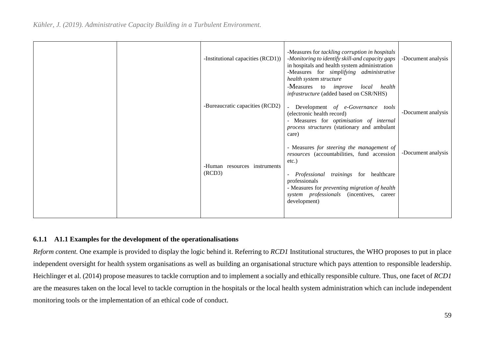|  | -Institutional capacities (RCD1))      | -Measures for tackling corruption in hospitals<br>-Monitoring to identify skill-and capacity gaps<br>in hospitals and health system administration<br>-Measures for simplifying administrative<br>health system structure                                                                            | -Document analysis |
|--|----------------------------------------|------------------------------------------------------------------------------------------------------------------------------------------------------------------------------------------------------------------------------------------------------------------------------------------------------|--------------------|
|  | -Bureaucratic capacities (RCD2)        | -Measures to improve local health<br>infrastructure (added based on CSR/NHS)<br>Development of e-Governance tools<br>(electronic health record)<br>- Measures for <i>optimisation of internal</i><br>process structures (stationary and ambulant<br>care)                                            | -Document analysis |
|  | -Human resources instruments<br>(RCD3) | - Measures for steering the management of<br>resources (accountabilities, fund accession<br>etc.)<br>Professional trainings for healthcare<br>$\overline{\phantom{a}}$<br>professionals<br>- Measures for preventing migration of health<br>system professionals (incentives, career<br>development) | -Document analysis |

### **6.1.1 A1.1 Examples for the development of the operationalisations**

*Reform content.* One example is provided to display the logic behind it. Referring to *RCD1* Institutional structures, the WHO proposes to put in place independent oversight for health system organisations as well as building an organisational structure which pays attention to responsible leadership. Heichlinger et al. (2014) propose measures to tackle corruption and to implement a socially and ethically responsible culture. Thus, one facet of *RCD1* are the measures taken on the local level to tackle corruption in the hospitals or the local health system administration which can include independent monitoring tools or the implementation of an ethical code of conduct.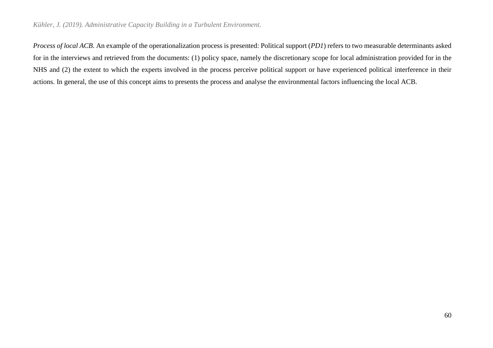#### *Kühler, J. (2019). Administrative Capacity Building in a Turbulent Environment.*

*Process of local ACB*. An example of the operationalization process is presented: Political support (*PD1*) refers to two measurable determinants asked for in the interviews and retrieved from the documents: (1) policy space, namely the discretionary scope for local administration provided for in the NHS and (2) the extent to which the experts involved in the process perceive political support or have experienced political interference in their actions. In general, the use of this concept aims to presents the process and analyse the environmental factors influencing the local ACB.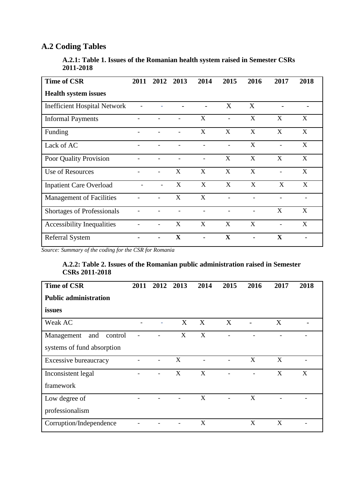## **A.2 Coding Tables**

|           | A.2.1: Table 1. Issues of the Romanian health system raised in Semester CSRs |  |  |
|-----------|------------------------------------------------------------------------------|--|--|
| 2011-2018 |                                                                              |  |  |

| <b>Time of CSR</b>                  | 2011 | 2012                     | 2013                      | 2014 | 2015        | 2016           | 2017                     | 2018 |
|-------------------------------------|------|--------------------------|---------------------------|------|-------------|----------------|--------------------------|------|
| <b>Health system issues</b>         |      |                          |                           |      |             |                |                          |      |
| <b>Inefficient Hospital Network</b> |      |                          |                           |      | X           | X              |                          |      |
| <b>Informal Payments</b>            |      |                          |                           | X    |             | X              | X                        | X    |
| Funding                             |      |                          |                           | X    | X           | X              | X                        | X    |
| Lack of AC                          |      |                          |                           |      |             | X              |                          | X    |
| Poor Quality Provision              |      |                          |                           |      | X           | X              | X                        | X    |
| Use of Resources                    |      | $\overline{\phantom{a}}$ | X                         | X    | X           | X              | $\overline{\phantom{0}}$ | X    |
| <b>Inpatient Care Overload</b>      |      | $\overline{\phantom{a}}$ | X                         | X    | X           | X              | X                        | X    |
| <b>Management of Facilities</b>     |      |                          | X                         | X    |             |                |                          |      |
| Shortages of Professionals          |      |                          |                           |      |             |                | X                        | X    |
| Accessibility Inequalities          |      | $\overline{\phantom{a}}$ | $\boldsymbol{\mathrm{X}}$ | X    | X           | X              |                          | X    |
| <b>Referral System</b>              |      | ۰                        | $\mathbf X$               |      | $\mathbf X$ | $\blacksquare$ | $\mathbf X$              |      |

*Source: Summary of the coding for the CSR for Romania*

### **A.2.2: Table 2. Issues of the Romanian public administration raised in Semester CSRs 2011-2018**

| <b>Time of CSR</b>           | 2011 | 2012 2013 | 2014         | 2015 | 2016 | 2017 | 2018         |
|------------------------------|------|-----------|--------------|------|------|------|--------------|
| <b>Public administration</b> |      |           |              |      |      |      |              |
| issues                       |      |           |              |      |      |      |              |
| Weak AC                      |      | X         | X            | X    |      | X    |              |
| Management<br>and<br>control |      | X         | X            |      |      |      |              |
| systems of fund absorption   |      |           |              |      |      |      |              |
| Excessive bureaucracy        |      | X         |              |      | X    | X    |              |
| Inconsistent legal           |      | X         | $\mathbf{X}$ |      |      | X    | $\mathbf{X}$ |
| framework                    |      |           |              |      |      |      |              |
| Low degree of                |      |           | X            |      | X    |      |              |
| professionalism              |      |           |              |      |      |      |              |
| Corruption/Independence      |      |           | X            |      | X    | X    |              |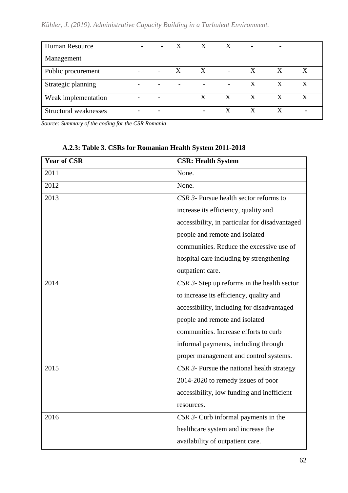## *Kühler, J. (2019). Administrative Capacity Building in a Turbulent Environment.*

| <b>Human Resource</b> |                          | $  X$ $X$ $X$            |              |   | $\qquad \qquad -$ |                  |
|-----------------------|--------------------------|--------------------------|--------------|---|-------------------|------------------|
| Management            |                          |                          |              |   |                   |                  |
| Public procurement    | $  X$                    | $X -$                    |              | X | $\mathbf{X}$      | $\boldsymbol{X}$ |
| Strategic planning    | $\overline{\phantom{0}}$ | $\overline{\phantom{a}}$ |              | X | X                 | X                |
| Weak implementation   |                          | $X_{-}$                  | $\mathbf{X}$ | X | X                 | X                |
| Structural weaknesses | ۰                        | $\blacksquare$           | X            | X | X                 |                  |

*Source: Summary of the coding for the CSR Romania*

| <b>Year of CSR</b> | <b>CSR: Health System</b>                      |
|--------------------|------------------------------------------------|
| 2011               | None.                                          |
| 2012               | None.                                          |
| 2013               | CSR 3- Pursue health sector reforms to         |
|                    | increase its efficiency, quality and           |
|                    | accessibility, in particular for disadvantaged |
|                    | people and remote and isolated                 |
|                    | communities. Reduce the excessive use of       |
|                    | hospital care including by strengthening       |
|                    | outpatient care.                               |
| 2014               | CSR 3- Step up reforms in the health sector    |
|                    | to increase its efficiency, quality and        |
|                    | accessibility, including for disadvantaged     |
|                    | people and remote and isolated                 |
|                    | communities. Increase efforts to curb          |
|                    | informal payments, including through           |
|                    | proper management and control systems.         |
| 2015               | CSR 3- Pursue the national health strategy     |
|                    | 2014-2020 to remedy issues of poor             |
|                    | accessibility, low funding and inefficient     |
|                    | resources.                                     |
| 2016               | CSR 3- Curb informal payments in the           |
|                    | healthcare system and increase the             |
|                    | availability of outpatient care.               |

## **A.2.3: Table 3. CSRs for Romanian Health System 2011-2018**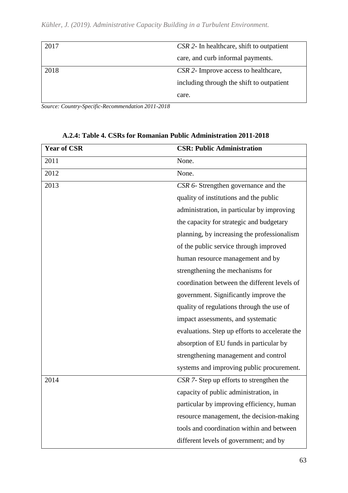|  |  | Kühler, J. (2019). Administrative Capacity Building in a Turbulent Environment. |  |  |  |  |  |
|--|--|---------------------------------------------------------------------------------|--|--|--|--|--|
|--|--|---------------------------------------------------------------------------------|--|--|--|--|--|

| 2017 | CSR 2- In healthcare, shift to outpatient   |
|------|---------------------------------------------|
|      | care, and curb informal payments.           |
| 2018 | <i>CSR 2-</i> Improve access to healthcare, |
|      | including through the shift to outpatient   |
|      | care.                                       |

*Source: Country-Specific-Recommendation 2011-2018*

| <b>Year of CSR</b> | <b>CSR: Public Administration</b>              |
|--------------------|------------------------------------------------|
| 2011               | None.                                          |
| 2012               | None.                                          |
| 2013               | CSR 6- Strengthen governance and the           |
|                    | quality of institutions and the public         |
|                    | administration, in particular by improving     |
|                    | the capacity for strategic and budgetary       |
|                    | planning, by increasing the professionalism    |
|                    | of the public service through improved         |
|                    | human resource management and by               |
|                    | strengthening the mechanisms for               |
|                    | coordination between the different levels of   |
|                    | government. Significantly improve the          |
|                    | quality of regulations through the use of      |
|                    | impact assessments, and systematic             |
|                    | evaluations. Step up efforts to accelerate the |
|                    | absorption of EU funds in particular by        |
|                    | strengthening management and control           |
|                    | systems and improving public procurement.      |
| 2014               | CSR 7- Step up efforts to strengthen the       |
|                    | capacity of public administration, in          |
|                    | particular by improving efficiency, human      |
|                    | resource management, the decision-making       |
|                    | tools and coordination within and between      |
|                    | different levels of government; and by         |

## **A.2.4: Table 4. CSRs for Romanian Public Administration 2011-2018**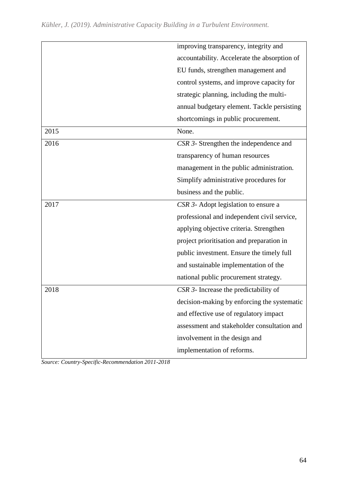|      | improving transparency, integrity and        |
|------|----------------------------------------------|
|      | accountability. Accelerate the absorption of |
|      | EU funds, strengthen management and          |
|      | control systems, and improve capacity for    |
|      | strategic planning, including the multi-     |
|      | annual budgetary element. Tackle persisting  |
|      | shortcomings in public procurement.          |
| 2015 | None.                                        |
| 2016 | CSR 3- Strengthen the independence and       |
|      | transparency of human resources              |
|      | management in the public administration.     |
|      | Simplify administrative procedures for       |
|      | business and the public.                     |
| 2017 | CSR 3- Adopt legislation to ensure a         |
|      | professional and independent civil service,  |
|      | applying objective criteria. Strengthen      |
|      | project prioritisation and preparation in    |
|      | public investment. Ensure the timely full    |
|      | and sustainable implementation of the        |
|      | national public procurement strategy.        |
| 2018 | CSR 3- Increase the predictability of        |
|      | decision-making by enforcing the systematic  |
|      | and effective use of regulatory impact       |
|      | assessment and stakeholder consultation and  |
|      | involvement in the design and                |
|      | implementation of reforms.                   |

*Source: Country-Specific-Recommendation 2011-2018*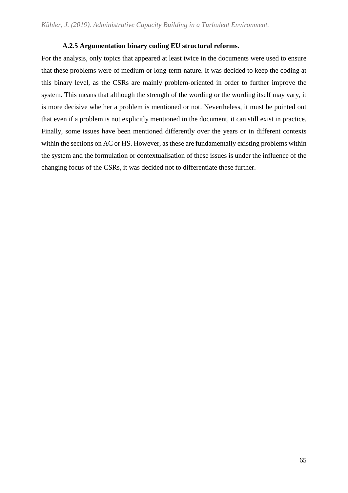### **A.2.5 Argumentation binary coding EU structural reforms.**

For the analysis, only topics that appeared at least twice in the documents were used to ensure that these problems were of medium or long-term nature. It was decided to keep the coding at this binary level, as the CSRs are mainly problem-oriented in order to further improve the system. This means that although the strength of the wording or the wording itself may vary, it is more decisive whether a problem is mentioned or not. Nevertheless, it must be pointed out that even if a problem is not explicitly mentioned in the document, it can still exist in practice. Finally, some issues have been mentioned differently over the years or in different contexts within the sections on AC or HS. However, as these are fundamentally existing problems within the system and the formulation or contextualisation of these issues is under the influence of the changing focus of the CSRs, it was decided not to differentiate these further.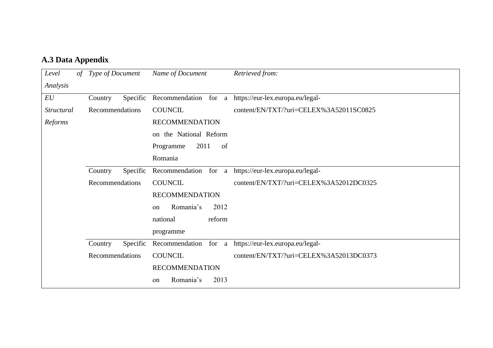## **A.3 Data Appendix**

| Level             | of Type of Document | Name of Document                   | Retrieved from:                         |
|-------------------|---------------------|------------------------------------|-----------------------------------------|
| Analysis          |                     |                                    |                                         |
| EU                | Specific<br>Country | Recommendation for<br>a            | https://eur-lex.europa.eu/legal-        |
| <i>Structural</i> | Recommendations     | <b>COUNCIL</b>                     | content/EN/TXT/?uri=CELEX%3A52011SC0825 |
| Reforms           |                     | <b>RECOMMENDATION</b>              |                                         |
|                   |                     | the National Reform<br>on          |                                         |
|                   |                     | 2011<br>of<br>Programme            |                                         |
|                   |                     | Romania                            |                                         |
|                   | Specific<br>Country | Recommendation                     | for a https://eur-lex.europa.eu/legal-  |
|                   | Recommendations     | <b>COUNCIL</b>                     | content/EN/TXT/?uri=CELEX%3A52012DC0325 |
|                   |                     | <b>RECOMMENDATION</b>              |                                         |
|                   |                     | Romania's<br>2012<br><sub>on</sub> |                                         |
|                   |                     | national<br>reform                 |                                         |
|                   |                     | programme                          |                                         |
|                   | Specific<br>Country | Recommendation<br>for a            | https://eur-lex.europa.eu/legal-        |
|                   | Recommendations     | <b>COUNCIL</b>                     | content/EN/TXT/?uri=CELEX%3A52013DC0373 |
|                   |                     | <b>RECOMMENDATION</b>              |                                         |
|                   |                     | Romania's<br>2013<br>on            |                                         |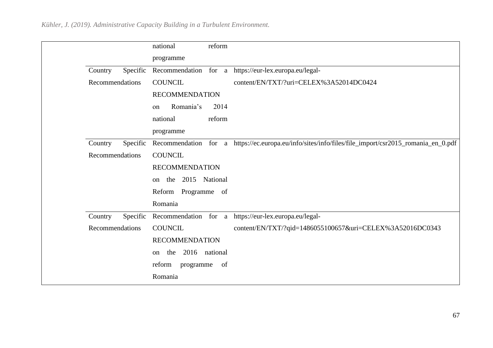|                 |          | national                | reform |                                                                                                      |
|-----------------|----------|-------------------------|--------|------------------------------------------------------------------------------------------------------|
|                 |          | programme               |        |                                                                                                      |
| Country         | Specific |                         |        | Recommendation for a https://eur-lex.europa.eu/legal-                                                |
| Recommendations |          | <b>COUNCIL</b>          |        | content/EN/TXT/?uri=CELEX%3A52014DC0424                                                              |
|                 |          | <b>RECOMMENDATION</b>   |        |                                                                                                      |
|                 |          | Romania's<br>on         | 2014   |                                                                                                      |
|                 |          | national                | reform |                                                                                                      |
|                 |          | programme               |        |                                                                                                      |
| Country         | Specific |                         |        | Recommendation for a https://ec.europa.eu/info/sites/info/files/file_import/csr2015_romania_en_0.pdf |
| Recommendations |          | <b>COUNCIL</b>          |        |                                                                                                      |
|                 |          | <b>RECOMMENDATION</b>   |        |                                                                                                      |
|                 |          | the 2015 National<br>on |        |                                                                                                      |
|                 |          | Reform Programme of     |        |                                                                                                      |
|                 |          | Romania                 |        |                                                                                                      |
| Country         | Specific |                         |        | Recommendation for a https://eur-lex.europa.eu/legal-                                                |
| Recommendations |          | <b>COUNCIL</b>          |        | content/EN/TXT/?qid=1486055100657&uri=CELEX%3A52016DC0343                                            |
|                 |          | <b>RECOMMENDATION</b>   |        |                                                                                                      |
|                 |          | the 2016 national<br>on |        |                                                                                                      |
|                 |          | reform<br>programme     | of     |                                                                                                      |
|                 |          | Romania                 |        |                                                                                                      |
|                 |          |                         |        |                                                                                                      |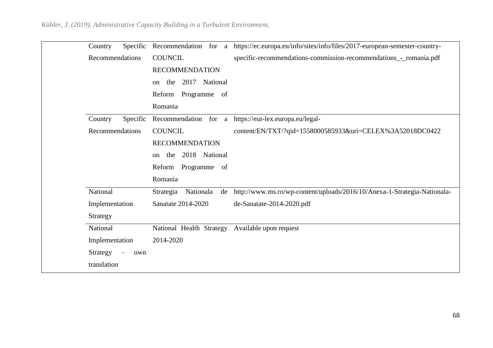| Country                              |     | Specific Recommendation for a https://ec.europa.eu/info/sites/info/files/2017-european-semester-country- |
|--------------------------------------|-----|----------------------------------------------------------------------------------------------------------|
| Recommendations                      |     | <b>COUNCIL</b><br>specific-recommendations-commission-recommendations_-_romania.pdf                      |
|                                      |     | <b>RECOMMENDATION</b>                                                                                    |
|                                      |     | the 2017 National<br>on                                                                                  |
|                                      |     | Reform Programme of                                                                                      |
|                                      |     | Romania                                                                                                  |
| Country                              |     | Specific Recommendation for a https://eur-lex.europa.eu/legal-                                           |
| Recommendations                      |     | <b>COUNCIL</b><br>content/EN/TXT/?qid=1558000585933&uri=CELEX%3A52018DC0422                              |
|                                      |     | <b>RECOMMENDATION</b>                                                                                    |
|                                      |     | the 2018 National<br>$\alpha$ n                                                                          |
|                                      |     | Reform Programme of                                                                                      |
|                                      |     | Romania                                                                                                  |
| National                             |     | http://www.ms.ro/wp-content/uploads/2016/10/Anexa-1-Strategia-Nationala-<br>Strategia<br>Nationala<br>de |
| Implementation                       |     | Sanatate 2014-2020<br>de-Sanatate-2014-2020.pdf                                                          |
| Strategy                             |     |                                                                                                          |
| National                             |     | National Health Strategy Available upon request                                                          |
| Implementation                       |     | 2014-2020                                                                                                |
| Strategy<br>$\overline{\phantom{m}}$ | own |                                                                                                          |
| translation                          |     |                                                                                                          |
|                                      |     |                                                                                                          |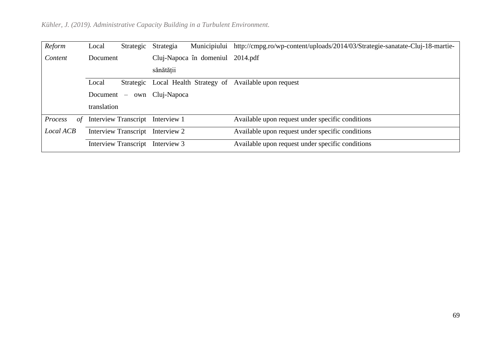| Reform        | Local                            | Strategic | Strategia                        | Municipiului | http://cmpg.ro/wp-content/uploads/2014/03/Strategie-sanatate-Cluj-18-martie- |
|---------------|----------------------------------|-----------|----------------------------------|--------------|------------------------------------------------------------------------------|
| Content       | Document                         |           | Cluj-Napoca în domeniul 2014.pdf |              |                                                                              |
|               |                                  |           | sănătății                        |              |                                                                              |
|               | Local                            |           |                                  |              | Strategic Local Health Strategy of Available upon request                    |
|               | Document $-$                     |           | own Cluj-Napoca                  |              |                                                                              |
|               | translation                      |           |                                  |              |                                                                              |
| Process<br>of |                                  |           | Interview Transcript Interview 1 |              | Available upon request under specific conditions                             |
| Local ACB     | Interview Transcript Interview 2 |           |                                  |              | Available upon request under specific conditions                             |
|               |                                  |           | Interview Transcript Interview 3 |              | Available upon request under specific conditions                             |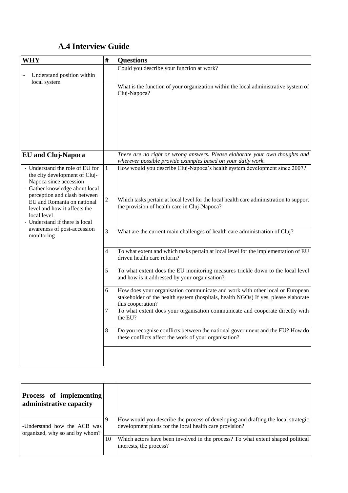## **A.4 Interview Guide**

| <b>WHY</b>                                                                                                                                                   | $\pmb{\sharp}$ | <b>Questions</b>                                                                                                                                                                        |
|--------------------------------------------------------------------------------------------------------------------------------------------------------------|----------------|-----------------------------------------------------------------------------------------------------------------------------------------------------------------------------------------|
| Understand position within                                                                                                                                   |                | Could you describe your function at work?                                                                                                                                               |
| local system                                                                                                                                                 |                | What is the function of your organization within the local administrative system of<br>Cluj-Napoca?                                                                                     |
| <b>EU</b> and Cluj-Napoca                                                                                                                                    |                | There are no right or wrong answers. Please elaborate your own thoughts and<br>wherever possible provide examples based on your daily work.                                             |
| - Understand the role of EU for<br>the city development of Cluj-<br>Napoca since accession<br>- Gather knowledge about local<br>perception and clash between | $\mathbf{1}$   | How would you describe Cluj-Napoca's health system development since 2007?                                                                                                              |
| EU and Romania on national<br>level and how it affects the<br>local level<br>- Understand if there is local                                                  | $\overline{c}$ | Which tasks pertain at local level for the local health care administration to support<br>the provision of health care in Cluj-Napoca?                                                  |
| awareness of post-accession<br>monitoring                                                                                                                    | $\mathfrak{Z}$ | What are the current main challenges of health care administration of Cluj?                                                                                                             |
|                                                                                                                                                              | 4              | To what extent and which tasks pertain at local level for the implementation of EU<br>driven health care reform?                                                                        |
|                                                                                                                                                              | 5              | To what extent does the EU monitoring measures trickle down to the local level<br>and how is it addressed by your organisation?                                                         |
|                                                                                                                                                              | 6              | How does your organisation communicate and work with other local or European<br>stakeholder of the health system (hospitals, health NGOs) If yes, please elaborate<br>this cooperation? |
|                                                                                                                                                              | 7              | To what extent does your organisation communicate and cooperate directly with<br>the EU?                                                                                                |
|                                                                                                                                                              | 8              | Do you recognise conflicts between the national government and the EU? How do<br>these conflicts affect the work of your organisation?                                                  |
|                                                                                                                                                              |                |                                                                                                                                                                                         |

| <b>Process of implementing</b><br>administrative capacity     |    |                                                                                                                                             |
|---------------------------------------------------------------|----|---------------------------------------------------------------------------------------------------------------------------------------------|
| -Understand how the ACB was<br>organized, why so and by whom? |    | How would you describe the process of developing and drafting the local strategic<br>development plans for the local health care provision? |
|                                                               | 10 | Which actors have been involved in the process? To what extent shaped political<br>interests, the process?                                  |